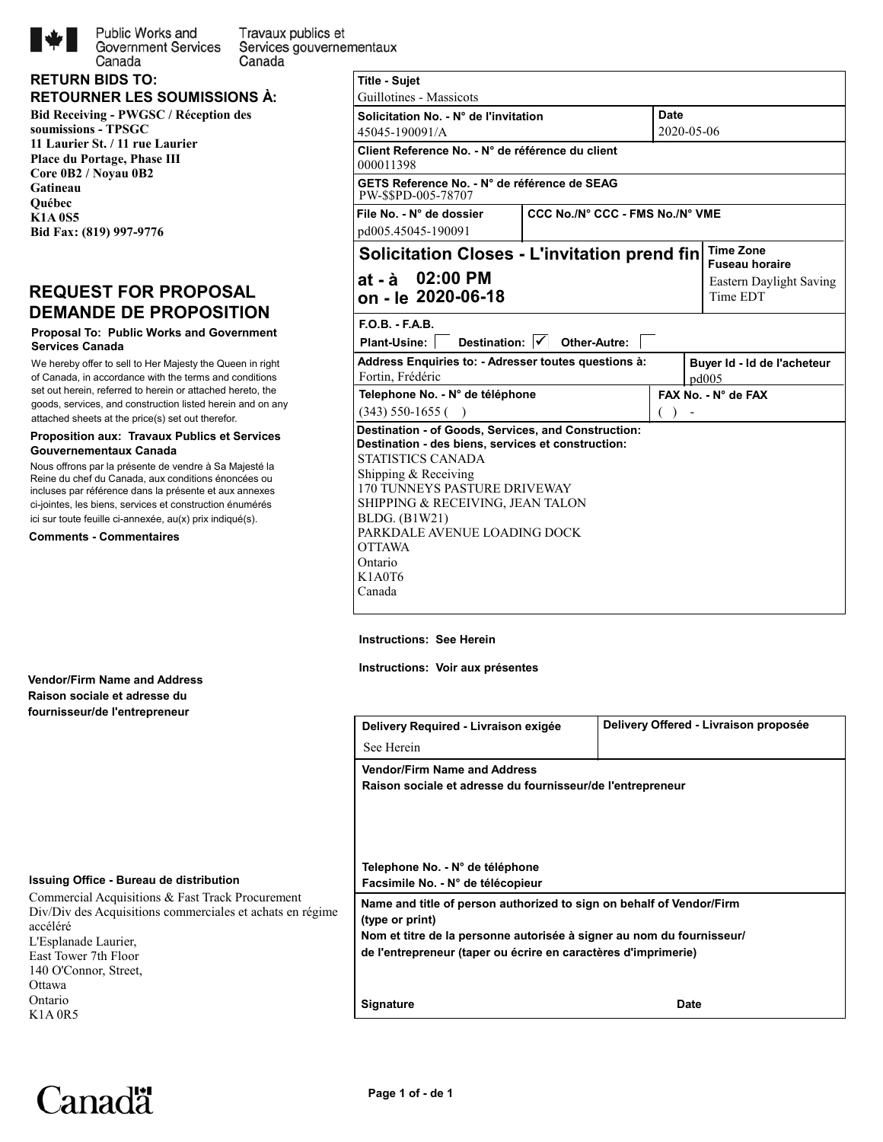

Public Works and Travaux publics et **Government Services** Services gouvernementaux Canada

## **Bid Receiving - PWGSC / Réception des soumissions - TPSGC 11 Laurier St. / 11 rue Laurier RETOURNER LES SOUMISSIONS À: RETURN BIDS TO:**

**Place du Portage, Phase III Core 0B2 / Noyau 0B2 Gatineau Québec K1A 0S5 Bid Fax: (819) 997-9776**

Canada

## **REQUEST FOR PROPOSAL DEMANDE DE PROPOSITION**

## **Proposal To: Public Works and Government Services Canada**

We hereby offer to sell to Her Majesty the Queen in right of Canada, in accordance with the terms and conditions set out herein, referred to herein or attached hereto, the goods, services, and construction listed herein and on any attached sheets at the price(s) set out therefor.

## **Proposition aux: Travaux Publics et Services Gouvernementaux Canada**

Nous offrons par la présente de vendre à Sa Majesté la Reine du chef du Canada, aux conditions énoncées ou incluses par référence dans la présente et aux annexes ci-jointes, les biens, services et construction énumérés ici sur toute feuille ci-annexée, au(x) prix indiqué(s).

**Comments - Commentaires**

|                              | <b>Date</b>                                                                                                                                                                                                                                                                                                                                                                                                                                                         |                                                                                               |
|------------------------------|---------------------------------------------------------------------------------------------------------------------------------------------------------------------------------------------------------------------------------------------------------------------------------------------------------------------------------------------------------------------------------------------------------------------------------------------------------------------|-----------------------------------------------------------------------------------------------|
|                              |                                                                                                                                                                                                                                                                                                                                                                                                                                                                     |                                                                                               |
|                              |                                                                                                                                                                                                                                                                                                                                                                                                                                                                     |                                                                                               |
|                              |                                                                                                                                                                                                                                                                                                                                                                                                                                                                     |                                                                                               |
|                              |                                                                                                                                                                                                                                                                                                                                                                                                                                                                     |                                                                                               |
|                              |                                                                                                                                                                                                                                                                                                                                                                                                                                                                     | <b>Time Zone</b><br><b>Fuseau horaire</b>                                                     |
|                              |                                                                                                                                                                                                                                                                                                                                                                                                                                                                     | Eastern Daylight Saving<br>Time EDT                                                           |
|                              |                                                                                                                                                                                                                                                                                                                                                                                                                                                                     |                                                                                               |
|                              |                                                                                                                                                                                                                                                                                                                                                                                                                                                                     |                                                                                               |
|                              |                                                                                                                                                                                                                                                                                                                                                                                                                                                                     | Buyer Id - Id de l'acheteur<br>pd005                                                          |
|                              |                                                                                                                                                                                                                                                                                                                                                                                                                                                                     | FAX No. - N° de FAX                                                                           |
|                              | (                                                                                                                                                                                                                                                                                                                                                                                                                                                                   |                                                                                               |
| PARKDALE AVENUE LOADING DOCK |                                                                                                                                                                                                                                                                                                                                                                                                                                                                     |                                                                                               |
|                              | Solicitation No. - N° de l'invitation<br>Client Reference No. - N° de référence du client<br>GETS Reference No. - N° de référence de SEAG<br>Destination: $  \checkmark  $ Other-Autre:<br>Address Enquiries to: - Adresser toutes questions à:<br>Telephone No. - N° de téléphone<br>Destination - of Goods, Services, and Construction:<br>Destination - des biens, services et construction:<br>170 TUNNEYS PASTURE DRIVEWAY<br>SHIPPING & RECEIVING, JEAN TALON | 2020-05-06<br>CCC No./N° CCC - FMS No./N° VME<br>Solicitation Closes - L'invitation prend fin |

## **Instructions: See Herein**

**Instructions: Voir aux présentes**

| Delivery Required - Livraison exigée                                                                                                                                                                                               | Delivery Offered - Livraison proposée |
|------------------------------------------------------------------------------------------------------------------------------------------------------------------------------------------------------------------------------------|---------------------------------------|
| See Herein                                                                                                                                                                                                                         |                                       |
| <b>Vendor/Firm Name and Address</b>                                                                                                                                                                                                |                                       |
| Raison sociale et adresse du fournisseur/de l'entrepreneur                                                                                                                                                                         |                                       |
|                                                                                                                                                                                                                                    |                                       |
|                                                                                                                                                                                                                                    |                                       |
| Telephone No. - N° de téléphone                                                                                                                                                                                                    |                                       |
| Facsimile No. - N° de télécopieur                                                                                                                                                                                                  |                                       |
|                                                                                                                                                                                                                                    |                                       |
|                                                                                                                                                                                                                                    |                                       |
|                                                                                                                                                                                                                                    |                                       |
|                                                                                                                                                                                                                                    |                                       |
| Name and title of person authorized to sign on behalf of Vendor/Firm<br>(type or print)<br>Nom et titre de la personne autorisée à signer au nom du fournisseur/<br>de l'entrepreneur (taper ou écrire en caractères d'imprimerie) |                                       |
|                                                                                                                                                                                                                                    |                                       |

**Vendor/Firm Name and Address Raison sociale et adresse du fournisseur/de l'entrepreneur**

## **Issuing Office - Bureau de distribution**

Commercial Acquisitions & Fast Track Procurement Div/Div des Acquisitions commerciales et achats en régime accéléré L'Esplanade Laurier, East Tower 7th Floor 140 O'Connor, Street, Ottawa Ontario K1A 0R5

# Canadä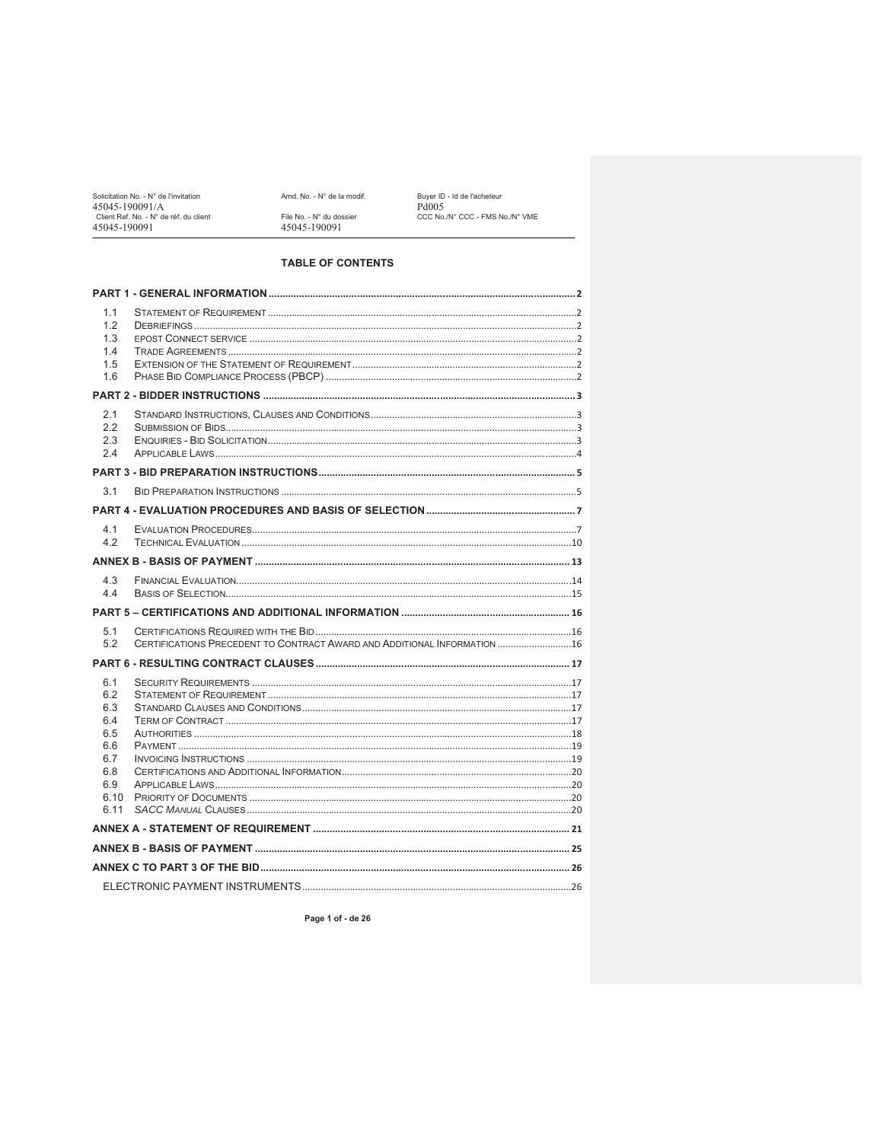Solicitation No. - N° de l'invitation<br>45045-190091/A<br>Client Ref. No. - N° de réf. du client<br>45045-190091

Amd. No. - N° de la modif. File No. - N° du dossier<br>45045-190091

Buyer ID - Id de l'acheteur<br>Pd005<br>CCC No./N° CCC - FMS No./N° VME

## **TABLE OF CONTENTS**

| 1.1<br>1.2<br>1.3<br>1.4<br>1.5 |                                                                          |  |
|---------------------------------|--------------------------------------------------------------------------|--|
| 1.6                             |                                                                          |  |
|                                 |                                                                          |  |
| 2.1<br>2.2<br>2.3<br>2.4        |                                                                          |  |
|                                 |                                                                          |  |
| 3.1                             |                                                                          |  |
|                                 |                                                                          |  |
| 4.1<br>4.2                      |                                                                          |  |
|                                 |                                                                          |  |
| 4.3<br>4.4                      |                                                                          |  |
|                                 |                                                                          |  |
| 5.1<br>5.2                      | CERTIFICATIONS PRECEDENT TO CONTRACT AWARD AND ADDITIONAL INFORMATION 16 |  |
|                                 |                                                                          |  |
| 6.1<br>6.2<br>6.3<br>6.4<br>6.5 |                                                                          |  |
| 6.6<br>6.7<br>6.8               |                                                                          |  |
| 6.9<br>6.10<br>6.11             |                                                                          |  |
|                                 |                                                                          |  |
|                                 |                                                                          |  |
|                                 |                                                                          |  |
|                                 |                                                                          |  |

Page 1 of - de 26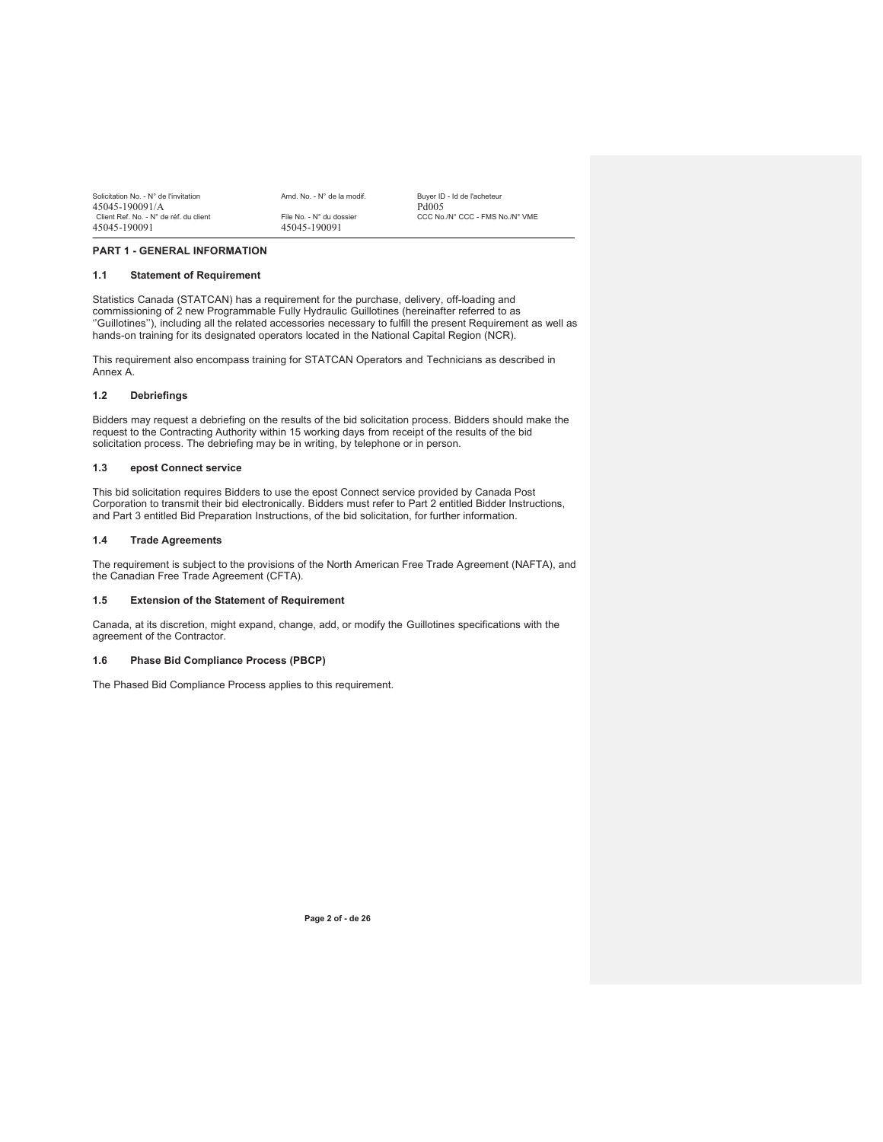| Solicitation No. - N° de l'invitation  | Amd. No. - N° de la modif. | Buver ID - Id de l'acheteur     |
|----------------------------------------|----------------------------|---------------------------------|
| 45045-190091/A                         |                            | Pd <sub>005</sub>               |
| Client Ref. No. - N° de réf. du client | File No. - N° du dossier   | CCC No./N° CCC - FMS No./N° VME |
| 45045-190091                           | 45045-190091               |                                 |

#### **PART 1 - GENERAL INFORMATION**

#### **1.1 Statement of Requirement**

Statistics Canada (STATCAN) has a requirement for the purchase, delivery, off-loading and commissioning of 2 new Programmable Fully Hydraulic Guillotines (hereinafter referred to as ''Guillotines''), including all the related accessories necessary to fulfill the present Requirement as well as hands-on training for its designated operators located in the National Capital Region (NCR).

This requirement also encompass training for STATCAN Operators and Technicians as described in Annex A.

#### **1.2 Debriefings**

Bidders may request a debriefing on the results of the bid solicitation process. Bidders should make the request to the Contracting Authority within 15 working days from receipt of the results of the bid solicitation process. The debriefing may be in writing, by telephone or in person.

#### **1.3 epost Connect service**

This bid solicitation requires Bidders to use the epost Connect service provided by Canada Post Corporation to transmit their bid electronically. Bidders must refer to Part 2 entitled Bidder Instructions, and Part 3 entitled Bid Preparation Instructions, of the bid solicitation, for further information.

#### **1.4 Trade Agreements**

The requirement is subject to the provisions of the North American Free Trade Agreement (NAFTA), and the Canadian Free Trade Agreement (CFTA).

#### **1.5 Extension of the Statement of Requirement**

Canada, at its discretion, might expand, change, add, or modify the Guillotines specifications with the agreement of the Contractor.

#### **1.6 Phase Bid Compliance Process (PBCP)**

The Phased Bid Compliance Process applies to this requirement.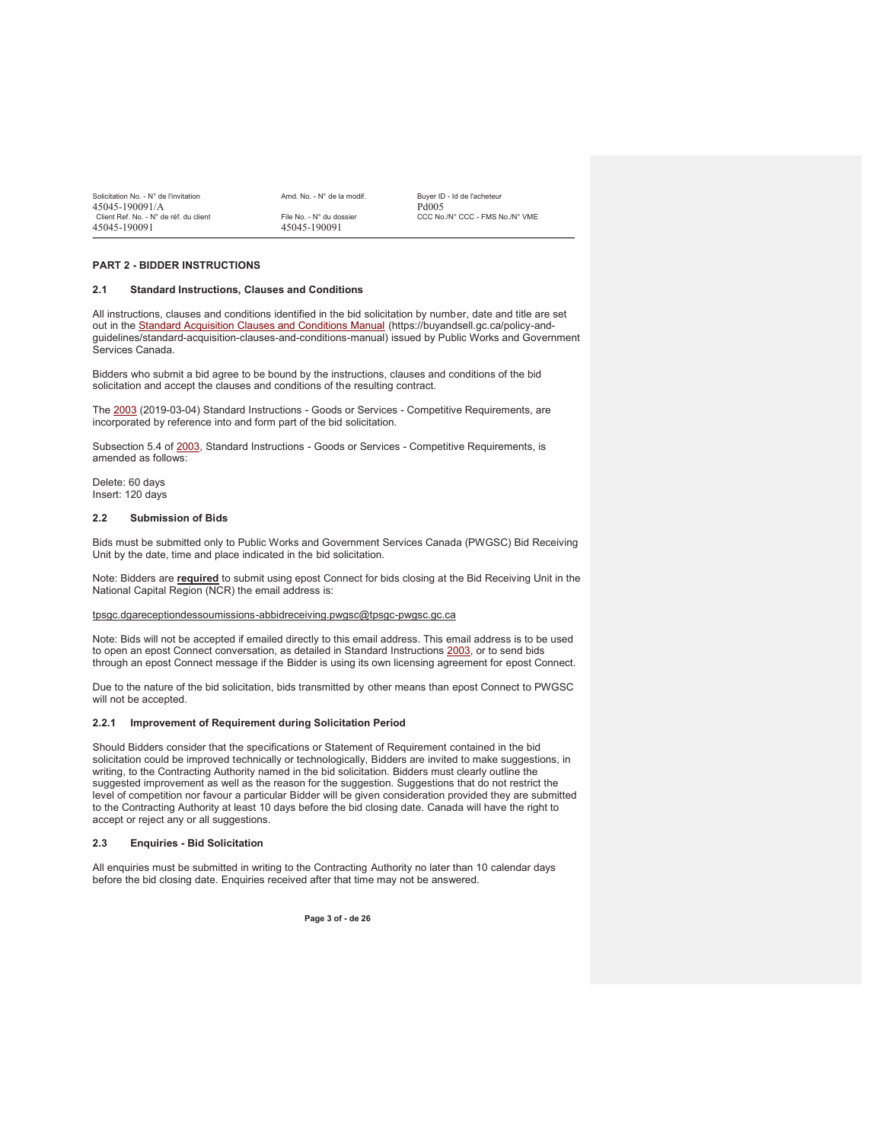| Solicitation No. - N° de l'invitation  | Amd. No. - N° de la modif. | Buver ID - Id de l'acheteur     |
|----------------------------------------|----------------------------|---------------------------------|
| 45045-190091/A                         |                            | Pd <sub>005</sub>               |
| Client Ref. No. - N° de réf. du client | File No. - N° du dossier   | CCC No./N° CCC - FMS No./N° VME |
| 45045-190091                           | 45045-190091               |                                 |

#### **PART 2 - BIDDER INSTRUCTIONS**

#### **2.1 Standard Instructions, Clauses and Conditions**

All instructions, clauses and conditions identified in the bid solicitation by number, date and title are set out in the Standard Acquisition Clauses and Conditions Manual (https://buyandsell.gc.ca/policy-andguidelines/standard-acquisition-clauses-and-conditions-manual) issued by Public Works and Government Services Canada.

Bidders who submit a bid agree to be bound by the instructions, clauses and conditions of the bid solicitation and accept the clauses and conditions of the resulting contract.

The 2003 (2019-03-04) Standard Instructions - Goods or Services - Competitive Requirements, are incorporated by reference into and form part of the bid solicitation.

Subsection 5.4 of 2003, Standard Instructions - Goods or Services - Competitive Requirements, is amended as follows:

Delete: 60 days Insert: 120 days

#### **2.2 Submission of Bids**

Bids must be submitted only to Public Works and Government Services Canada (PWGSC) Bid Receiving Unit by the date, time and place indicated in the bid solicitation.

Note: Bidders are **required** to submit using epost Connect for bids closing at the Bid Receiving Unit in the National Capital Region (NCR) the email address is:

#### tpsgc.dgareceptiondessoumissions-abbidreceiving.pwgsc@tpsgc-pwgsc.gc.ca

Note: Bids will not be accepted if emailed directly to this email address. This email address is to be used to open an epost Connect conversation, as detailed in Standard Instructions 2003, or to send bids through an epost Connect message if the Bidder is using its own licensing agreement for epost Connect.

Due to the nature of the bid solicitation, bids transmitted by other means than epost Connect to PWGSC will not be accepted.

#### **2.2.1 Improvement of Requirement during Solicitation Period**

Should Bidders consider that the specifications or Statement of Requirement contained in the bid solicitation could be improved technically or technologically, Bidders are invited to make suggestions, in writing, to the Contracting Authority named in the bid solicitation. Bidders must clearly outline the suggested improvement as well as the reason for the suggestion. Suggestions that do not restrict the level of competition nor favour a particular Bidder will be given consideration provided they are submitted to the Contracting Authority at least 10 days before the bid closing date. Canada will have the right to accept or reject any or all suggestions.

#### **2.3 Enquiries - Bid Solicitation**

All enquiries must be submitted in writing to the Contracting Authority no later than 10 calendar days before the bid closing date. Enquiries received after that time may not be answered.

**Page 3 of - de 26**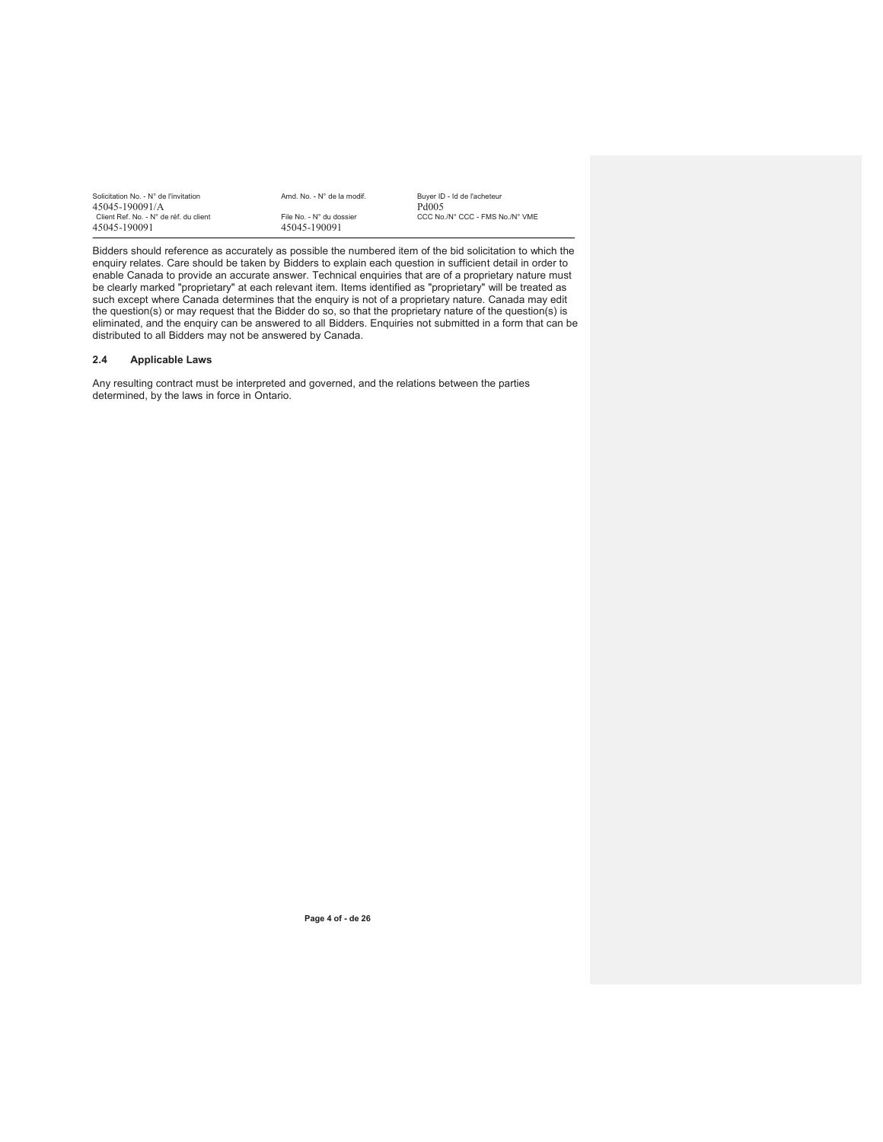| Solicitation No. - N° de l'invitation  | Amd. No. - N° de la modif. | Buver ID - Id de l'acheteur     |
|----------------------------------------|----------------------------|---------------------------------|
| 45045-190091/A                         |                            | Pd005                           |
| Client Ref. No. - N° de réf. du client | File No. - N° du dossier   | CCC No./N° CCC - FMS No./N° VME |
| 45045-190091                           | 45045-190091               |                                 |

Bidders should reference as accurately as possible the numbered item of the bid solicitation to which the enquiry relates. Care should be taken by Bidders to explain each question in sufficient detail in order to enable Canada to provide an accurate answer. Technical enquiries that are of a proprietary nature must be clearly marked "proprietary" at each relevant item. Items identified as "proprietary" will be treated as such except where Canada determines that the enquiry is not of a proprietary nature. Canada may edit the question(s) or may request that the Bidder do so, so that the proprietary nature of the question(s) is eliminated, and the enquiry can be answered to all Bidders. Enquiries not submitted in a form that can be distributed to all Bidders may not be answered by Canada.

## **2.4 Applicable Laws**

Any resulting contract must be interpreted and governed, and the relations between the parties determined, by the laws in force in Ontario.

**Page 4 of - de 26**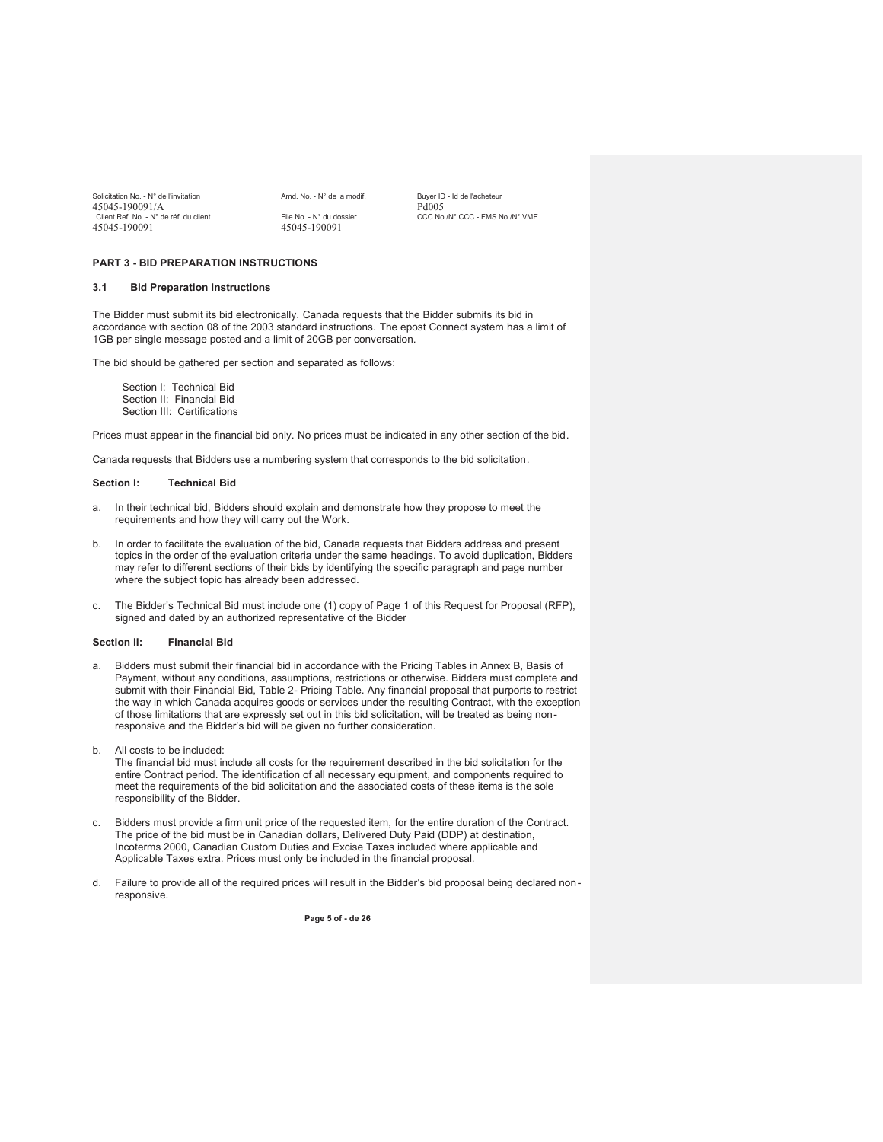| Solicitation No. - N° de l'invitation  | Amd. No. - N° de la modif. | Buver ID - Id de l'acheteur     |
|----------------------------------------|----------------------------|---------------------------------|
| 45045-190091/A                         |                            | Pd005                           |
| Client Ref. No. - N° de réf. du client | File No. - N° du dossier   | CCC No./N° CCC - FMS No./N° VME |
| 45045-190091                           | 45045-190091               |                                 |

#### **PART 3 - BID PREPARATION INSTRUCTIONS**

#### **3.1 Bid Preparation Instructions**

The Bidder must submit its bid electronically. Canada requests that the Bidder submits its bid in accordance with section 08 of the 2003 standard instructions. The epost Connect system has a limit of 1GB per single message posted and a limit of 20GB per conversation.

The bid should be gathered per section and separated as follows:

Section I: Technical Bid Section II: Financial Bid Section III: Certifications

Prices must appear in the financial bid only. No prices must be indicated in any other section of the bid.

Canada requests that Bidders use a numbering system that corresponds to the bid solicitation.

#### **Section I: Technical Bid**

- a. In their technical bid, Bidders should explain and demonstrate how they propose to meet the requirements and how they will carry out the Work.
- b. In order to facilitate the evaluation of the bid, Canada requests that Bidders address and present topics in the order of the evaluation criteria under the same headings. To avoid duplication, Bidders may refer to different sections of their bids by identifying the specific paragraph and page number where the subject topic has already been addressed.
- c. The Bidder's Technical Bid must include one (1) copy of Page 1 of this Request for Proposal (RFP), signed and dated by an authorized representative of the Bidder

#### **Section II: Financial Bid**

a. Bidders must submit their financial bid in accordance with the Pricing Tables in Annex B, Basis of Payment, without any conditions, assumptions, restrictions or otherwise. Bidders must complete and submit with their Financial Bid, Table 2- Pricing Table. Any financial proposal that purports to restrict the way in which Canada acquires goods or services under the resulting Contract, with the exception of those limitations that are expressly set out in this bid solicitation, will be treated as being nonresponsive and the Bidder's bid will be given no further consideration.

b. All costs to be included:

The financial bid must include all costs for the requirement described in the bid solicitation for the entire Contract period. The identification of all necessary equipment, and components required to meet the requirements of the bid solicitation and the associated costs of these items is the sole responsibility of the Bidder.

- c. Bidders must provide a firm unit price of the requested item, for the entire duration of the Contract. The price of the bid must be in Canadian dollars, Delivered Duty Paid (DDP) at destination, Incoterms 2000, Canadian Custom Duties and Excise Taxes included where applicable and Applicable Taxes extra. Prices must only be included in the financial proposal.
- d. Failure to provide all of the required prices will result in the Bidder's bid proposal being declared nonresponsive.

**Page 5 of - de 26**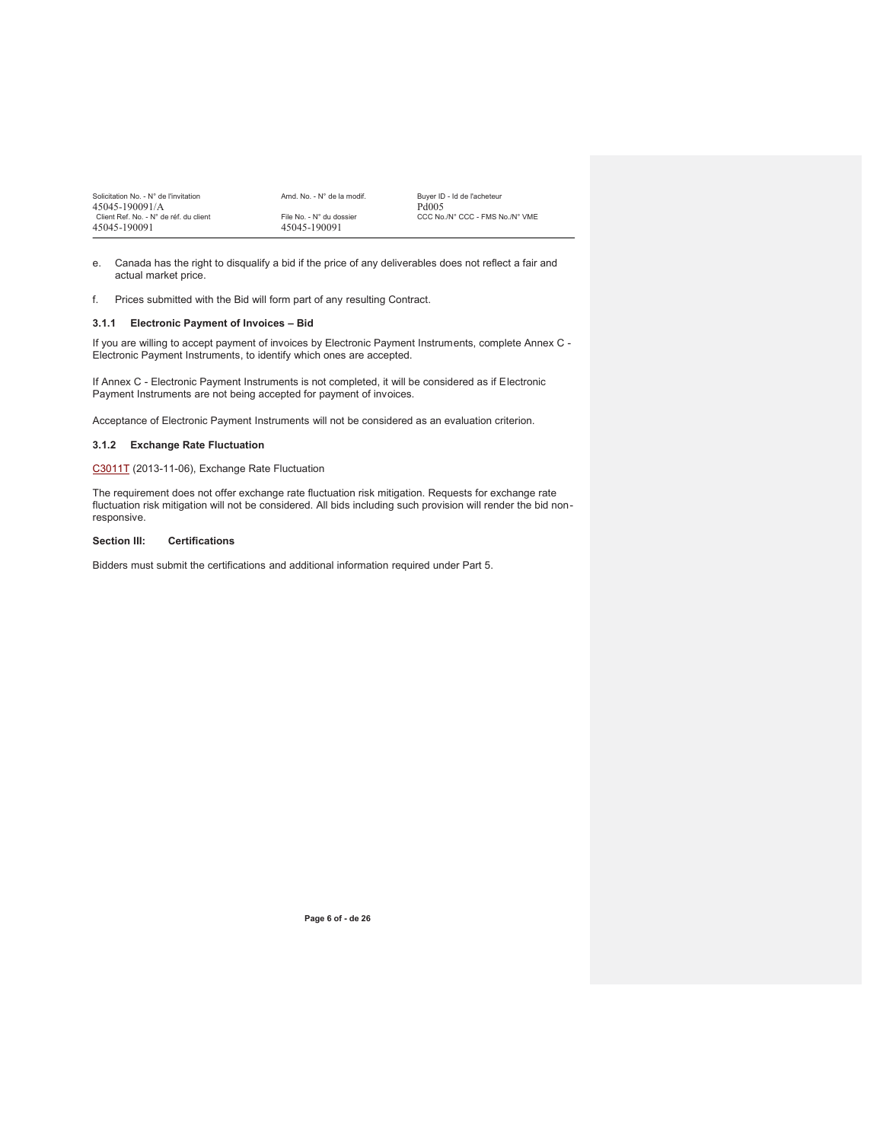| Solicitation No. - N° de l'invitation  | Amd. No. - N° de la modif. | Buver ID - Id de l'acheteur     |
|----------------------------------------|----------------------------|---------------------------------|
| 45045-190091/A                         |                            | Pd <sub>005</sub>               |
| Client Ref. No. - N° de réf. du client | File No. - N° du dossier   | CCC No./N° CCC - FMS No./N° VME |
| 45045-190091                           | 45045-190091               |                                 |

- e. Canada has the right to disqualify a bid if the price of any deliverables does not reflect a fair and actual market price.
- f. Prices submitted with the Bid will form part of any resulting Contract.

### **3.1.1 Electronic Payment of Invoices – Bid**

If you are willing to accept payment of invoices by Electronic Payment Instruments, complete Annex C - Electronic Payment Instruments, to identify which ones are accepted.

If Annex C - Electronic Payment Instruments is not completed, it will be considered as if Electronic Payment Instruments are not being accepted for payment of invoices.

Acceptance of Electronic Payment Instruments will not be considered as an evaluation criterion.

## **3.1.2 Exchange Rate Fluctuation**

C3011T (2013-11-06), Exchange Rate Fluctuation

The requirement does not offer exchange rate fluctuation risk mitigation. Requests for exchange rate fluctuation risk mitigation will not be considered. All bids including such provision will render the bid nonresponsive.

## **Section III: Certifications**

Bidders must submit the certifications and additional information required under Part 5.

**Page 6 of - de 26**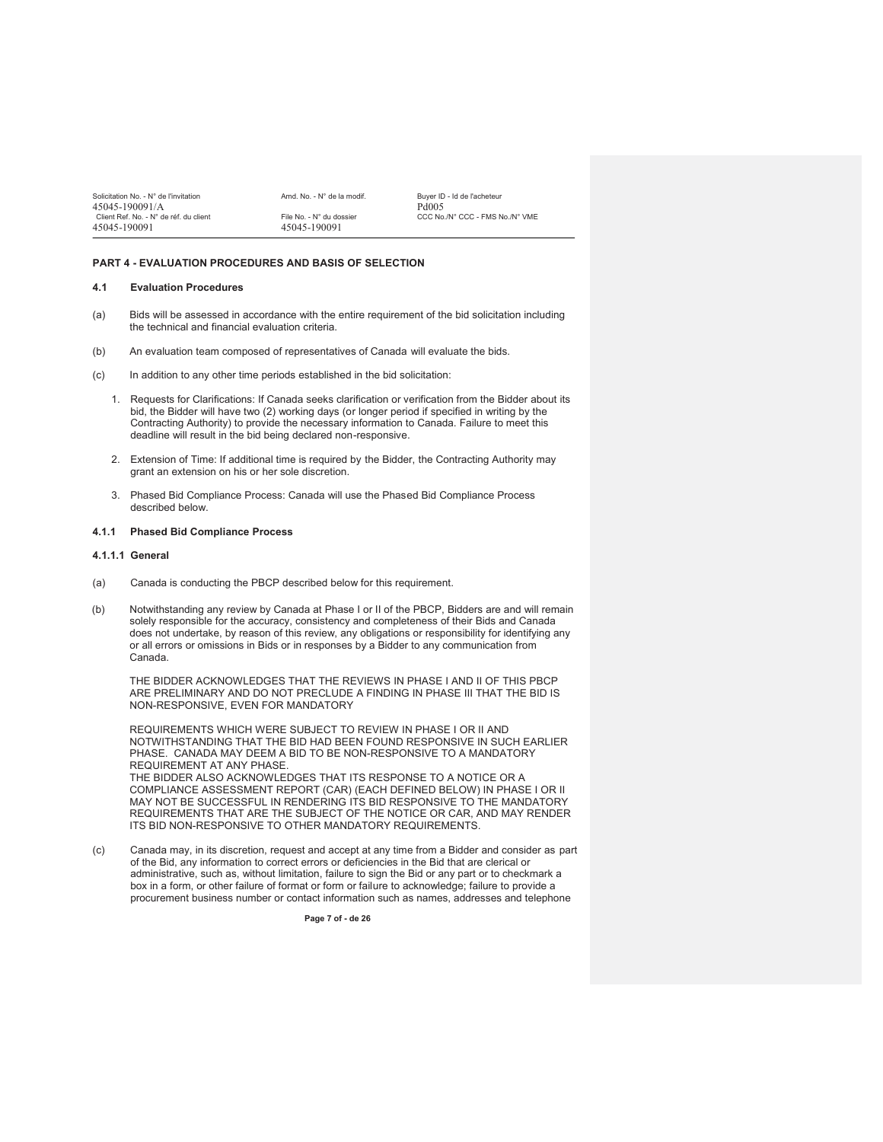| Solicitation No. - N° de l'invitation<br>45045-190091/A | Amd. No. - N° de la modif. | Buver ID - Id de l'acheteur<br>Pd005 |
|---------------------------------------------------------|----------------------------|--------------------------------------|
| Client Ref. No. - N° de réf. du client                  | File No. - N° du dossier   | CCC No./N° CCC - FMS No./N° VME      |
| 45045-190091                                            | 45045-190091               |                                      |

## **PART 4 - EVALUATION PROCEDURES AND BASIS OF SELECTION**

### **4.1 Evaluation Procedures**

- (a) Bids will be assessed in accordance with the entire requirement of the bid solicitation including the technical and financial evaluation criteria.
- (b) An evaluation team composed of representatives of Canada will evaluate the bids.
- (c) In addition to any other time periods established in the bid solicitation:
	- 1. Requests for Clarifications: If Canada seeks clarification or verification from the Bidder about its bid, the Bidder will have two (2) working days (or longer period if specified in writing by the Contracting Authority) to provide the necessary information to Canada. Failure to meet this deadline will result in the bid being declared non-responsive.
	- 2. Extension of Time: If additional time is required by the Bidder, the Contracting Authority may grant an extension on his or her sole discretion.
	- 3. Phased Bid Compliance Process: Canada will use the Phased Bid Compliance Process described below.

#### **4.1.1 Phased Bid Compliance Process**

#### **4.1.1.1 General**

- (a) Canada is conducting the PBCP described below for this requirement.
- (b) Notwithstanding any review by Canada at Phase I or II of the PBCP, Bidders are and will remain solely responsible for the accuracy, consistency and completeness of their Bids and Canada does not undertake, by reason of this review, any obligations or responsibility for identifying any or all errors or omissions in Bids or in responses by a Bidder to any communication from Canada.

THE BIDDER ACKNOWLEDGES THAT THE REVIEWS IN PHASE I AND II OF THIS PBCP ARE PRELIMINARY AND DO NOT PRECLUDE A FINDING IN PHASE III THAT THE BID IS NON-RESPONSIVE, EVEN FOR MANDATORY

REQUIREMENTS WHICH WERE SUBJECT TO REVIEW IN PHASE I OR II AND NOTWITHSTANDING THAT THE BID HAD BEEN FOUND RESPONSIVE IN SUCH EARLIER PHASE. CANADA MAY DEEM A BID TO BE NON-RESPONSIVE TO A MANDATORY REQUIREMENT AT ANY PHASE.

THE BIDDER ALSO ACKNOWLEDGES THAT ITS RESPONSE TO A NOTICE OR A COMPLIANCE ASSESSMENT REPORT (CAR) (EACH DEFINED BELOW) IN PHASE I OR II MAY NOT BE SUCCESSFUL IN RENDERING ITS BID RESPONSIVE TO THE MANDATORY REQUIREMENTS THAT ARE THE SUBJECT OF THE NOTICE OR CAR, AND MAY RENDER ITS BID NON-RESPONSIVE TO OTHER MANDATORY REQUIREMENTS.

(c) Canada may, in its discretion, request and accept at any time from a Bidder and consider as part of the Bid, any information to correct errors or deficiencies in the Bid that are clerical or administrative, such as, without limitation, failure to sign the Bid or any part or to checkmark a box in a form, or other failure of format or form or failure to acknowledge; failure to provide a procurement business number or contact information such as names, addresses and telephone

**Page 7 of - de 26**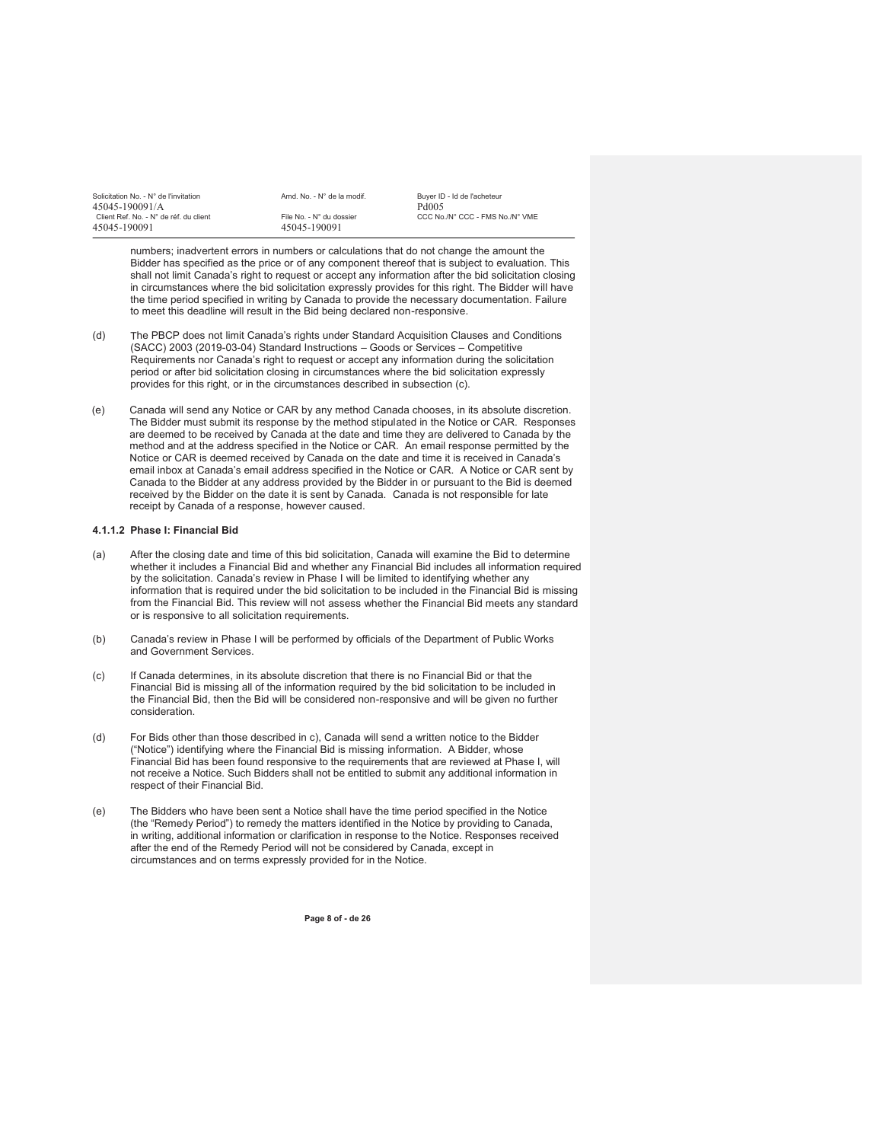| Solicitation No. - N° de l'invitation  | Amd. No. - N° de la modif. | Buver ID - Id de l'acheteur     |
|----------------------------------------|----------------------------|---------------------------------|
| 45045-190091/A                         |                            | Pd <sub>005</sub>               |
| Client Ref. No. - N° de réf. du client | File No. - N° du dossier   | CCC No./N° CCC - FMS No./N° VME |
| 45045-190091                           | 45045-190091               |                                 |

numbers; inadvertent errors in numbers or calculations that do not change the amount the Bidder has specified as the price or of any component thereof that is subject to evaluation. This shall not limit Canada's right to request or accept any information after the bid solicitation closing in circumstances where the bid solicitation expressly provides for this right. The Bidder will have the time period specified in writing by Canada to provide the necessary documentation. Failure to meet this deadline will result in the Bid being declared non-responsive.

- (d) The PBCP does not limit Canada's rights under Standard Acquisition Clauses and Conditions (SACC) 2003 (2019-03-04) Standard Instructions – Goods or Services – Competitive Requirements nor Canada's right to request or accept any information during the solicitation period or after bid solicitation closing in circumstances where the bid solicitation expressly provides for this right, or in the circumstances described in subsection (c).
- (e) Canada will send any Notice or CAR by any method Canada chooses, in its absolute discretion. The Bidder must submit its response by the method stipulated in the Notice or CAR. Responses are deemed to be received by Canada at the date and time they are delivered to Canada by the method and at the address specified in the Notice or CAR. An email response permitted by the Notice or CAR is deemed received by Canada on the date and time it is received in Canada's email inbox at Canada's email address specified in the Notice or CAR. A Notice or CAR sent by Canada to the Bidder at any address provided by the Bidder in or pursuant to the Bid is deemed received by the Bidder on the date it is sent by Canada. Canada is not responsible for late receipt by Canada of a response, however caused.

## **4.1.1.2 Phase I: Financial Bid**

- (a) After the closing date and time of this bid solicitation, Canada will examine the Bid to determine whether it includes a Financial Bid and whether any Financial Bid includes all information required by the solicitation. Canada's review in Phase I will be limited to identifying whether any information that is required under the bid solicitation to be included in the Financial Bid is missing from the Financial Bid. This review will not assess whether the Financial Bid meets any standard or is responsive to all solicitation requirements.
- (b) Canada's review in Phase I will be performed by officials of the Department of Public Works and Government Services.
- (c) If Canada determines, in its absolute discretion that there is no Financial Bid or that the Financial Bid is missing all of the information required by the bid solicitation to be included in the Financial Bid, then the Bid will be considered non-responsive and will be given no further consideration.
- (d) For Bids other than those described in c), Canada will send a written notice to the Bidder ("Notice") identifying where the Financial Bid is missing information. A Bidder, whose Financial Bid has been found responsive to the requirements that are reviewed at Phase I, will not receive a Notice. Such Bidders shall not be entitled to submit any additional information in respect of their Financial Bid.
- (e) The Bidders who have been sent a Notice shall have the time period specified in the Notice (the "Remedy Period") to remedy the matters identified in the Notice by providing to Canada, in writing, additional information or clarification in response to the Notice. Responses received after the end of the Remedy Period will not be considered by Canada, except in circumstances and on terms expressly provided for in the Notice.

**Page 8 of - de 26**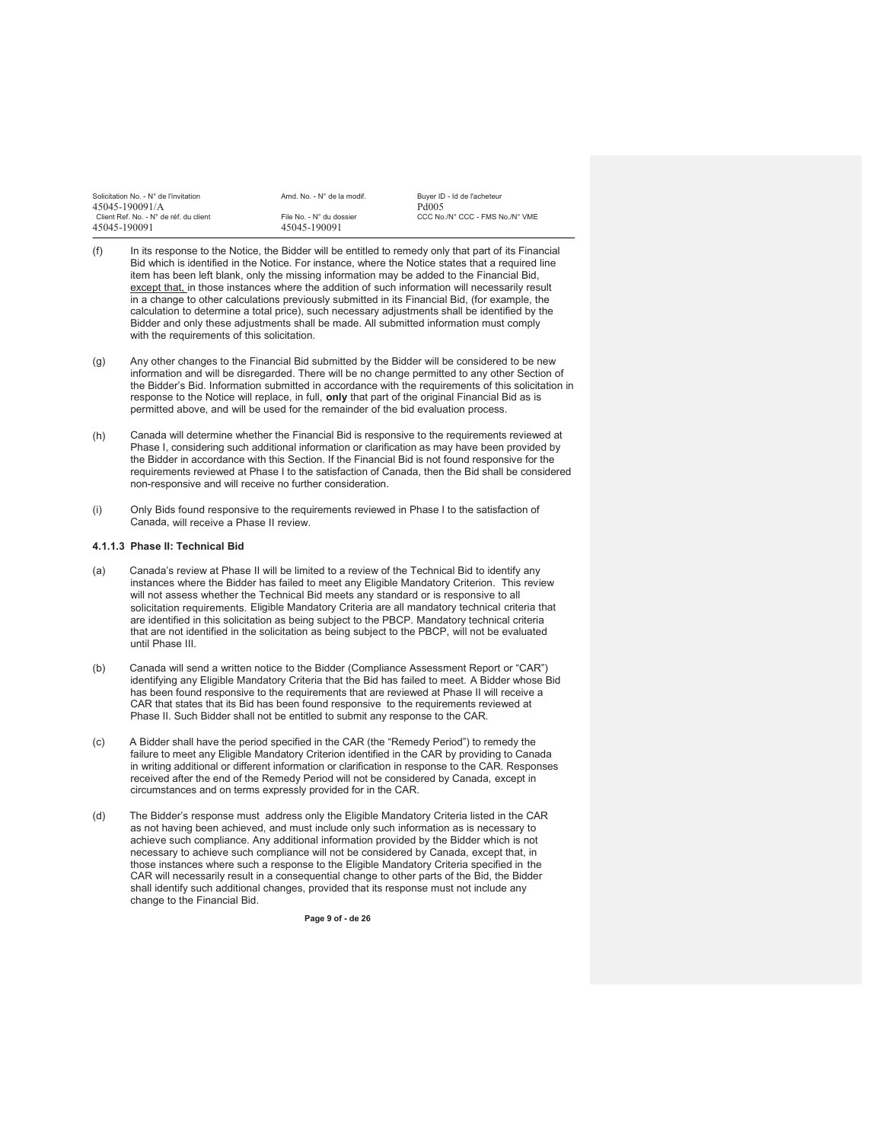| Solicitation No. - N° de l'invitation  | Amd. No. - N° de la modif. | Buver ID - Id de l'acheteur     |
|----------------------------------------|----------------------------|---------------------------------|
| 45045-190091/A                         |                            | Pd <sub>005</sub>               |
| Client Ref. No. - N° de réf. du client | File No. - N° du dossier   | CCC No./N° CCC - FMS No./N° VME |
| 45045-190091                           | 45045-190091               |                                 |

- (f) In its response to the Notice, the Bidder will be entitled to remedy only that part of its Financial Bid which is identified in the Notice. For instance, where the Notice states that a required line item has been left blank, only the missing information may be added to the Financial Bid, except that, in those instances where the addition of such information will necessarily result in a change to other calculations previously submitted in its Financial Bid, (for example, the calculation to determine a total price), such necessary adjustments shall be identified by the Bidder and only these adjustments shall be made. All submitted information must comply with the requirements of this solicitation*.*
- (g) Any other changes to the Financial Bid submitted by the Bidder will be considered to be new information and will be disregarded. There will be no change permitted to any other Section of the Bidder's Bid. Information submitted in accordance with the requirements of this solicitation in response to the Notice will replace, in full, **only** that part of the original Financial Bid as is permitted above, and will be used for the remainder of the bid evaluation process.
- (h) Canada will determine whether the Financial Bid is responsive to the requirements reviewed at Phase I, considering such additional information or clarification as may have been provided by the Bidder in accordance with this Section. If the Financial Bid is not found responsive for the requirements reviewed at Phase I to the satisfaction of Canada, then the Bid shall be considered non-responsive and will receive no further consideration.
- (i) Only Bids found responsive to the requirements reviewed in Phase I to the satisfaction of Canada, will receive a Phase II review.

#### **4.1.1.3 Phase II: Technical Bid**

- Canada's review at Phase II will be limited to a review of the Technical Bid to identify any instances where the Bidder has failed to meet any Eligible Mandatory Criterion. This review will not assess whether the Technical Bid meets any standard or is responsive to all solicitation requirements. Eligible Mandatory Criteria are all mandatory technical criteria that are identified in this solicitation as being subject to the PBCP. Mandatory technical criteria that are not identified in the solicitation as being subject to the PBCP, will not be evaluated until Phase III.
- (b) Canada will send a written notice to the Bidder (Compliance Assessment Report or "CAR") identifying any Eligible Mandatory Criteria that the Bid has failed to meet. A Bidder whose Bid has been found responsive to the requirements that are reviewed at Phase II will receive a CAR that states that its Bid has been found responsive to the requirements reviewed at Phase II. Such Bidder shall not be entitled to submit any response to the CAR.
- (c) A Bidder shall have the period specified in the CAR (the "Remedy Period") to remedy the failure to meet any Eligible Mandatory Criterion identified in the CAR by providing to Canada in writing additional or different information or clarification in response to the CAR. Responses received after the end of the Remedy Period will not be considered by Canada, except in circumstances and on terms expressly provided for in the CAR.
- (d) The Bidder's response must address only the Eligible Mandatory Criteria listed in the CAR as not having been achieved, and must include only such information as is necessary to achieve such compliance. Any additional information provided by the Bidder which is not necessary to achieve such compliance will not be considered by Canada, except that, in those instances where such a response to the Eligible Mandatory Criteria specified in the CAR will necessarily result in a consequential change to other parts of the Bid, the Bidder shall identify such additional changes, provided that its response must not include any change to the Financial Bid.

**Page 9 of - de 26**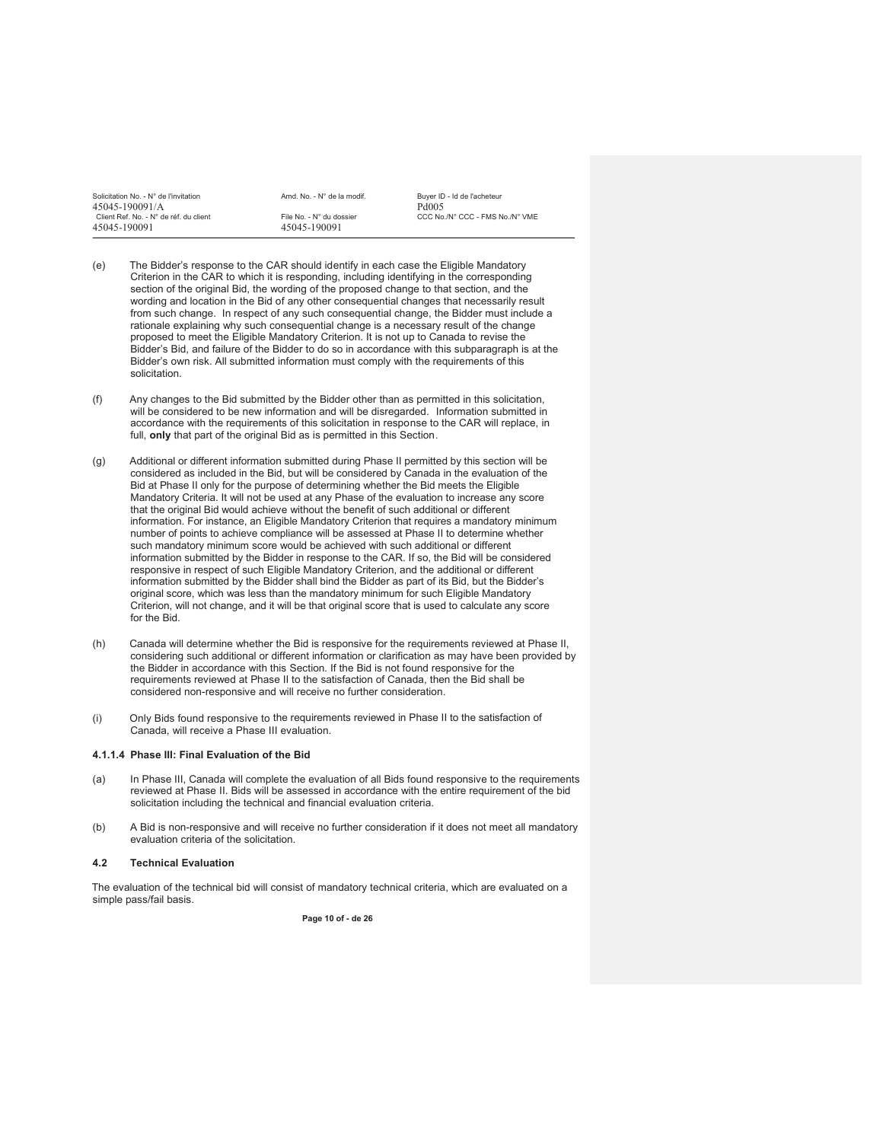| Solicitation No. - N° de l'invitation  | Amd. No. - N° de la modif. | Buver ID - Id de l'acheteur     |
|----------------------------------------|----------------------------|---------------------------------|
| 45045-190091/A                         |                            | Pd005                           |
| Client Ref. No. - N° de réf. du client | File No. - N° du dossier   | CCC No./N° CCC - FMS No./N° VME |
| 45045-190091                           | 45045-190091               |                                 |
|                                        |                            |                                 |

- (e) The Bidder's response to the CAR should identify in each case the Eligible Mandatory Criterion in the CAR to which it is responding, including identifying in the corresponding section of the original Bid, the wording of the proposed change to that section, and the wording and location in the Bid of any other consequential changes that necessarily result from such change. In respect of any such consequential change, the Bidder must include a rationale explaining why such consequential change is a necessary result of the change proposed to meet the Eligible Mandatory Criterion. It is not up to Canada to revise the Bidder's Bid, and failure of the Bidder to do so in accordance with this subparagraph is at the Bidder's own risk. All submitted information must comply with the requirements of this solicitation.
- (f) Any changes to the Bid submitted by the Bidder other than as permitted in this solicitation, will be considered to be new information and will be disregarded.Information submitted in accordance with the requirements of this solicitation in response to the CAR will replace, in full, only that part of the original Bid as is permitted in this Section.
- (g) Additional or different information submitted during Phase II permitted by this section will be considered as included in the Bid, but will be considered by Canada in the evaluation of the Bid at Phase II only for the purpose of determining whether the Bid meets the Eligible Mandatory Criteria. It will not be used at any Phase of the evaluation to increase any score that the original Bid would achieve without the benefit of such additional or different information. For instance, an Eligible Mandatory Criterion that requires a mandatory minimum number of points to achieve compliance will be assessed at Phase II to determine whether such mandatory minimum score would be achieved with such additional or different information submitted by the Bidder in response to the CAR. If so, the Bid will be considered responsive in respect of such Eligible Mandatory Criterion, and the additional or different information submitted by the Bidder shall bind the Bidder as part of its Bid, but the Bidder's original score, which was less than the mandatory minimum for such Eligible Mandatory Criterion, will not change, and it will be that original score that is used to calculate any score for the Bid.
- (h) Canada will determine whether the Bid is responsive for the requirements reviewed at Phase II, considering such additional or different information or clarification as may have been provided by the Bidder in accordance with this Section. If the Bid is not found responsive for the requirements reviewed at Phase II to the satisfaction of Canada, then the Bid shall be considered non-responsive and will receive no further consideration.
- (i) Only Bids found responsive to the requirements reviewed in Phase II to the satisfaction of Canada, will receive a Phase III evaluation.

#### **4.1.1.4 Phase III: Final Evaluation of the Bid**

- (a) In Phase III, Canada will complete the evaluation of all Bids found responsive to the requirements reviewed at Phase II. Bids will be assessed in accordance with the entire requirement of the bid solicitation including the technical and financial evaluation criteria.
- (b) A Bid is non-responsive and will receive no further consideration if it does not meet all mandatory evaluation criteria of the solicitation.

#### **4.2 Technical Evaluation**

The evaluation of the technical bid will consist of mandatory technical criteria, which are evaluated on a simple pass/fail basis.

**Page 10 of - de 26**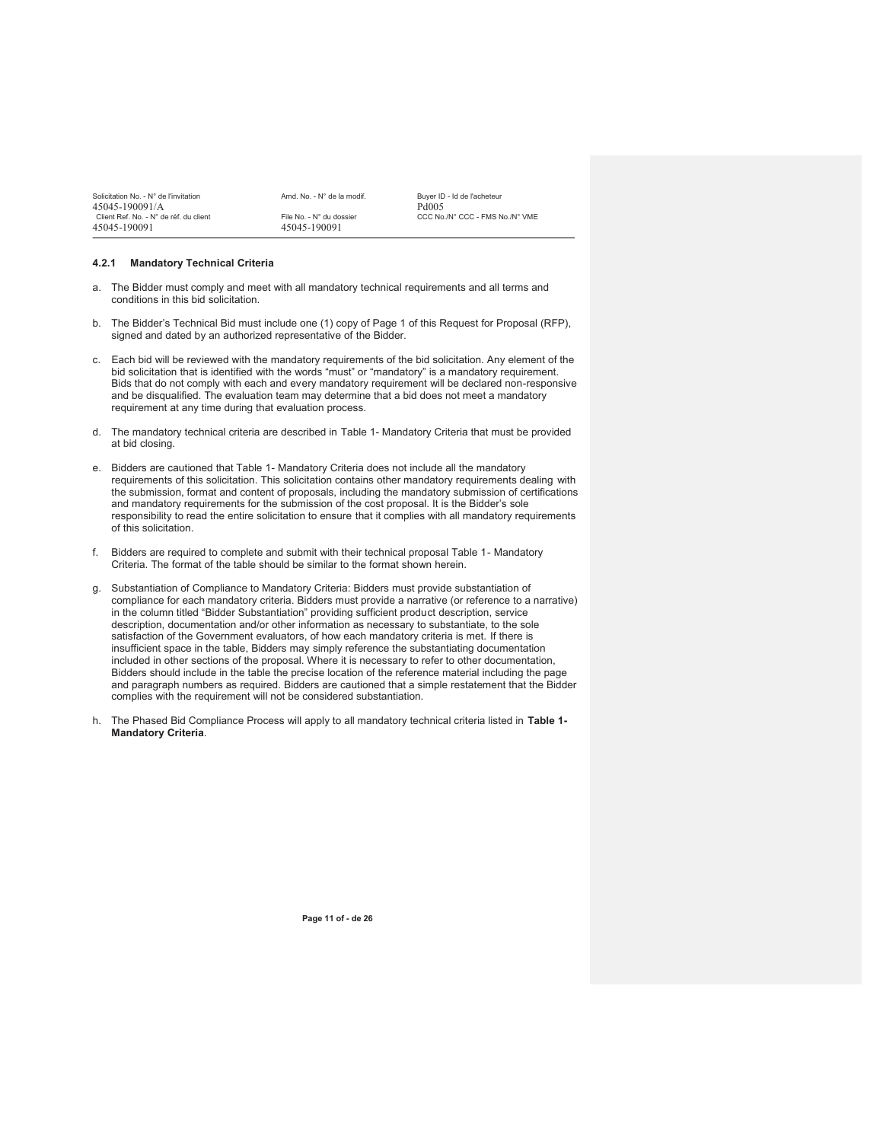| Solicitation No. - N° de l'invitation  | Amd. No. - N° de la modif. | Buver ID - Id de l'acheteur     |
|----------------------------------------|----------------------------|---------------------------------|
| 45045-190091/A                         |                            | Pd <sub>005</sub>               |
| Client Ref. No. - N° de réf. du client | File No. - N° du dossier   | CCC No./N° CCC - FMS No./N° VME |
| 45045-190091                           | 45045-190091               |                                 |

#### **4.2.1 Mandatory Technical Criteria**

- a. The Bidder must comply and meet with all mandatory technical requirements and all terms and conditions in this bid solicitation.
- b. The Bidder's Technical Bid must include one (1) copy of Page 1 of this Request for Proposal (RFP), signed and dated by an authorized representative of the Bidder.
- c. Each bid will be reviewed with the mandatory requirements of the bid solicitation. Any element of the bid solicitation that is identified with the words "must" or "mandatory" is a mandatory requirement. Bids that do not comply with each and every mandatory requirement will be declared non-responsive and be disqualified. The evaluation team may determine that a bid does not meet a mandatory requirement at any time during that evaluation process.
- d. The mandatory technical criteria are described in Table 1- Mandatory Criteria that must be provided at bid closing.
- e. Bidders are cautioned that Table 1- Mandatory Criteria does not include all the mandatory requirements of this solicitation. This solicitation contains other mandatory requirements dealing with the submission, format and content of proposals, including the mandatory submission of certifications and mandatory requirements for the submission of the cost proposal. It is the Bidder's sole responsibility to read the entire solicitation to ensure that it complies with all mandatory requirements of this solicitation.
- f. Bidders are required to complete and submit with their technical proposal Table 1- Mandatory Criteria. The format of the table should be similar to the format shown herein.
- g. Substantiation of Compliance to Mandatory Criteria: Bidders must provide substantiation of compliance for each mandatory criteria. Bidders must provide a narrative (or reference to a narrative) in the column titled "Bidder Substantiation" providing sufficient product description, service description, documentation and/or other information as necessary to substantiate, to the sole satisfaction of the Government evaluators, of how each mandatory criteria is met. If there is insufficient space in the table, Bidders may simply reference the substantiating documentation included in other sections of the proposal. Where it is necessary to refer to other documentation, Bidders should include in the table the precise location of the reference material including the page and paragraph numbers as required. Bidders are cautioned that a simple restatement that the Bidder complies with the requirement will not be considered substantiation.
- h. The Phased Bid Compliance Process will apply to all mandatory technical criteria listed in **Table 1- Mandatory Criteria**.

**Page 11 of - de 26**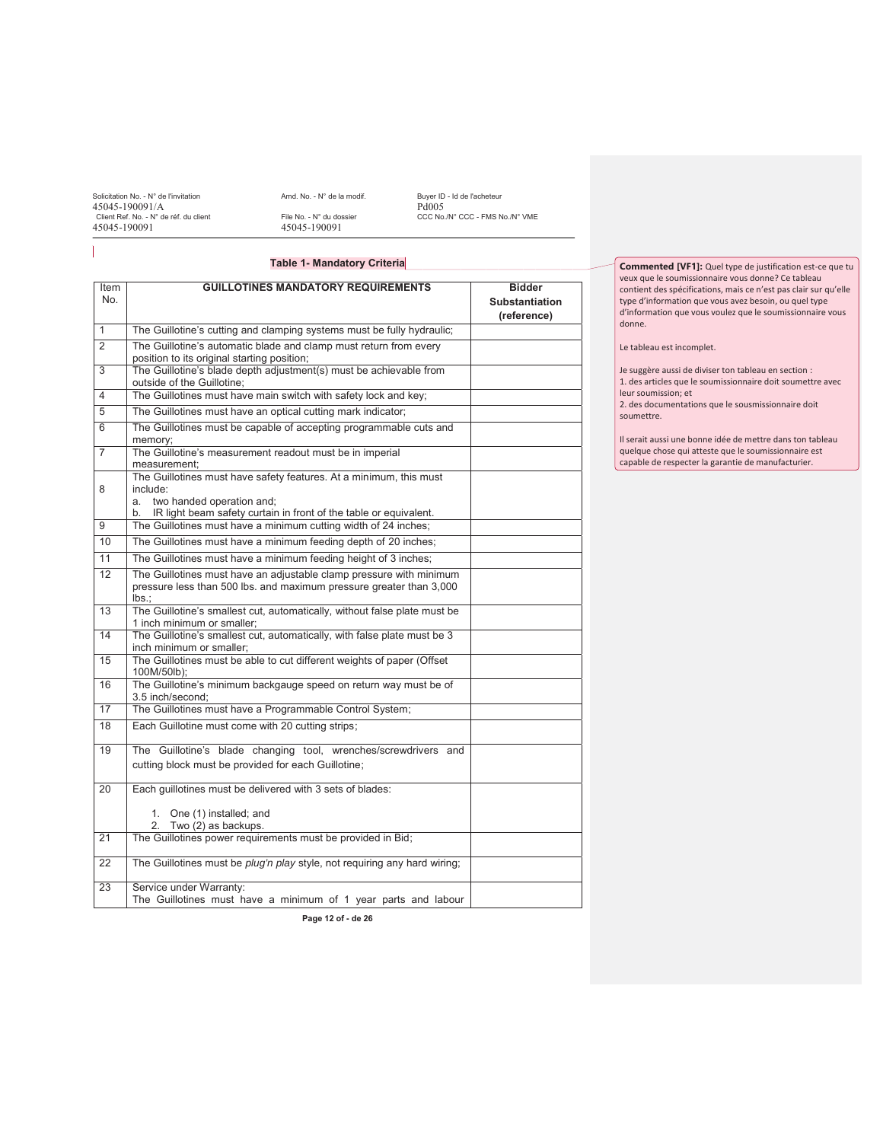Solicitation No. - N° de l'invitation  $45045-190091/A$  Amd. No. - N° de la modif. Buyer ID - Id de l'acheteur 45045-190091/A<br>
Client Ref. No. - N° de réf. du client<br>
45045-190091<br>
45045-190091<br>
45045-190091<br>
45045-190091 Client Ref. No. - N° de réf. du client<br>45045-190091

CCC No./N° CCC - FMS No./N° VME

## **Table 1- Mandatory Criteria**

| Item            | <b>GUILLOTINES MANDATORY REQUIREMENTS</b>                                                                        | <b>Bidder</b>                        |
|-----------------|------------------------------------------------------------------------------------------------------------------|--------------------------------------|
| No.             |                                                                                                                  | <b>Substantiation</b><br>(reference) |
| $\mathbf{1}$    | The Guillotine's cutting and clamping systems must be fully hydraulic;                                           |                                      |
| $\overline{2}$  | The Guillotine's automatic blade and clamp must return from every<br>position to its original starting position; |                                      |
| 3               | The Guillotine's blade depth adjustment(s) must be achievable from<br>outside of the Guillotine;                 |                                      |
| 4               | The Guillotines must have main switch with safety lock and key;                                                  |                                      |
| 5               | The Guillotines must have an optical cutting mark indicator;                                                     |                                      |
| 6               | The Guillotines must be capable of accepting programmable cuts and<br>memory;                                    |                                      |
| $\overline{7}$  | The Guillotine's measurement readout must be in imperial<br>measurement;                                         |                                      |
|                 | The Guillotines must have safety features. At a minimum, this must<br>include:                                   |                                      |
| 8               | two handed operation and;<br>a.                                                                                  |                                      |
|                 | IR light beam safety curtain in front of the table or equivalent.<br>b.                                          |                                      |
| 9               | The Guillotines must have a minimum cutting width of 24 inches;                                                  |                                      |
| 10              | The Guillotines must have a minimum feeding depth of 20 inches;                                                  |                                      |
| 11              | The Guillotines must have a minimum feeding height of 3 inches;                                                  |                                      |
| $\overline{12}$ | The Guillotines must have an adjustable clamp pressure with minimum                                              |                                      |
|                 | pressure less than 500 lbs. and maximum pressure greater than 3,000<br>$\mathsf{lbs}$ :                          |                                      |
| 13              | The Guillotine's smallest cut, automatically, without false plate must be<br>1 inch minimum or smaller;          |                                      |
| 14              | The Guillotine's smallest cut, automatically, with false plate must be 3<br>inch minimum or smaller:             |                                      |
| 15              | The Guillotines must be able to cut different weights of paper (Offset<br>100M/50lb);                            |                                      |
| 16              | The Guillotine's minimum backgauge speed on return way must be of<br>3.5 inch/second:                            |                                      |
| 17              | The Guillotines must have a Programmable Control System;                                                         |                                      |
| 18              | Each Guillotine must come with 20 cutting strips;                                                                |                                      |
| 19              | The Guillotine's blade changing tool, wrenches/screwdrivers and                                                  |                                      |
|                 | cutting block must be provided for each Guillotine;                                                              |                                      |
| 20              | Each guillotines must be delivered with 3 sets of blades:                                                        |                                      |
|                 | 1. One (1) installed; and<br>2. Two (2) as backups.                                                              |                                      |
| 21              | The Guillotines power requirements must be provided in Bid;                                                      |                                      |
| 22              | The Guillotines must be <i>plug'n play</i> style, not requiring any hard wiring;                                 |                                      |
| 23              | Service under Warranty:<br>The Guillotines must have a minimum of 1 year parts and labour                        |                                      |

**Page 12 of - de 26**

**Commented [VF1]:** Quel type de justification est-ce que tu veux que le soumissionnaire vous donne? Ce tableau contient des spécifications, mais ce n'est pas clair sur qu'elle type d'information que vous avez besoin, ou quel type d'information que vous voulez que le soumissionnaire vous donne.

Le tableau est incomplet.

Je suggère aussi de diviser ton tableau en section :

1. des articles que le soumissionnaire doit soumettre avec

leur soumission; et 2. des documentations que le sousmissionnaire doit

soumettre.

Il serait aussi une bonne idée de mettre dans ton tableau quelque chose qui atteste que le soumissionnaire est capable de respecter la garantie de manufacturier.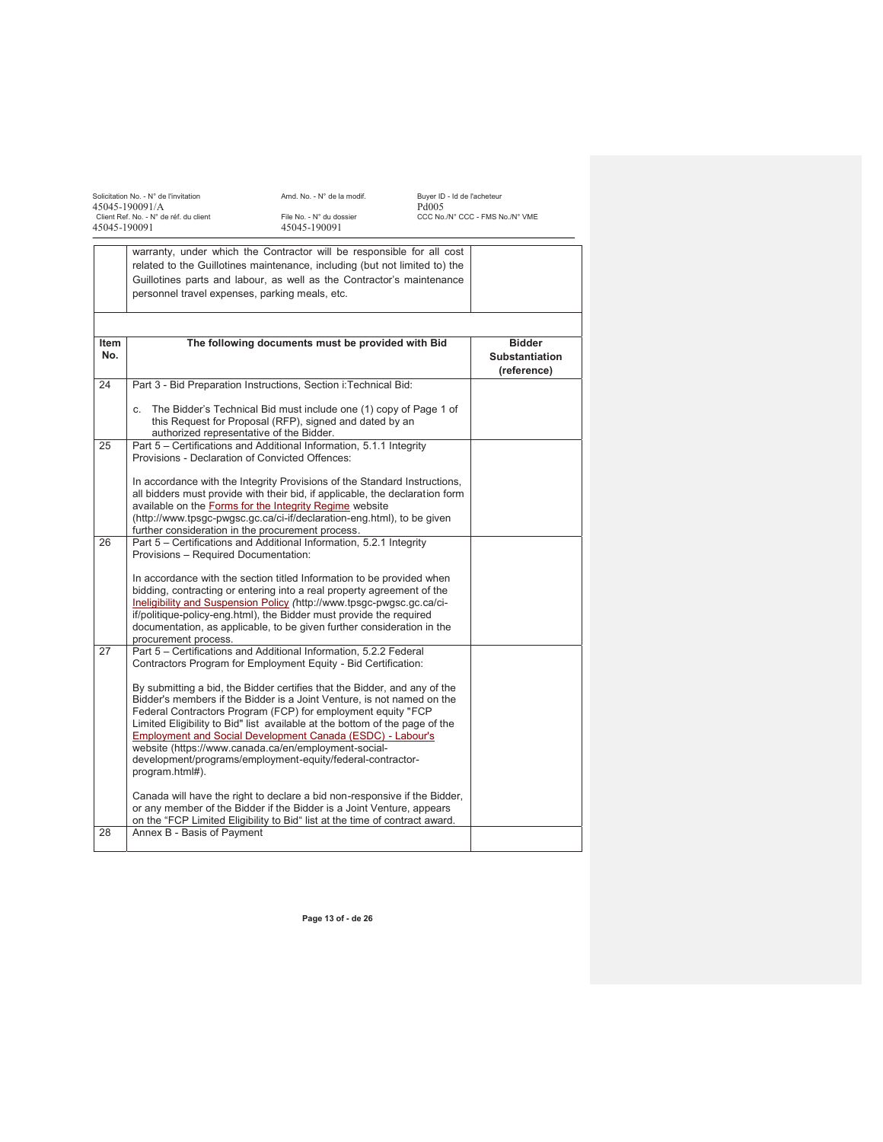Solicitation No. - N° de l'invitation Amd. No. - N° de la modif. Buyer ID - Id de l'acheteur 45045-190091/A Pd005 Client Ref. No. - N° de réf. du client File No. - N° du dossier CCC No./N° CCC - FMS No./N° VME 45045-190091 45045-190091

|             | warranty, under which the Contractor will be responsible for all cost<br>related to the Guillotines maintenance, including (but not limited to) the<br>Guillotines parts and labour, as well as the Contractor's maintenance<br>personnel travel expenses, parking meals, etc.                                                                                                                                                                                                                            |                                                       |
|-------------|-----------------------------------------------------------------------------------------------------------------------------------------------------------------------------------------------------------------------------------------------------------------------------------------------------------------------------------------------------------------------------------------------------------------------------------------------------------------------------------------------------------|-------------------------------------------------------|
|             |                                                                                                                                                                                                                                                                                                                                                                                                                                                                                                           |                                                       |
| Item<br>No. | The following documents must be provided with Bid                                                                                                                                                                                                                                                                                                                                                                                                                                                         | <b>Bidder</b><br><b>Substantiation</b><br>(reference) |
| 24          | Part 3 - Bid Preparation Instructions, Section i: Technical Bid:                                                                                                                                                                                                                                                                                                                                                                                                                                          |                                                       |
|             | The Bidder's Technical Bid must include one (1) copy of Page 1 of<br>C.<br>this Request for Proposal (RFP), signed and dated by an<br>authorized representative of the Bidder.                                                                                                                                                                                                                                                                                                                            |                                                       |
| 25          | Part 5 - Certifications and Additional Information, 5.1.1 Integrity<br>Provisions - Declaration of Convicted Offences:                                                                                                                                                                                                                                                                                                                                                                                    |                                                       |
|             | In accordance with the Integrity Provisions of the Standard Instructions,<br>all bidders must provide with their bid, if applicable, the declaration form<br>available on the Forms for the Integrity Regime website<br>(http://www.tpsgc-pwgsc.gc.ca/ci-if/declaration-eng.html), to be given<br>further consideration in the procurement process.                                                                                                                                                       |                                                       |
| 26          | Part 5 - Certifications and Additional Information, 5.2.1 Integrity<br>Provisions - Required Documentation:                                                                                                                                                                                                                                                                                                                                                                                               |                                                       |
|             | In accordance with the section titled Information to be provided when<br>bidding, contracting or entering into a real property agreement of the<br>Ineligibility and Suspension Policy (http://www.tpsgc-pwgsc.gc.ca/ci-<br>if/politique-policy-eng.html), the Bidder must provide the required<br>documentation, as applicable, to be given further consideration in the<br>procurement process.                                                                                                         |                                                       |
| 27          | Part 5 - Certifications and Additional Information, 5.2.2 Federal<br>Contractors Program for Employment Equity - Bid Certification:                                                                                                                                                                                                                                                                                                                                                                       |                                                       |
|             | By submitting a bid, the Bidder certifies that the Bidder, and any of the<br>Bidder's members if the Bidder is a Joint Venture, is not named on the<br>Federal Contractors Program (FCP) for employment equity "FCP<br>Limited Eligibility to Bid" list available at the bottom of the page of the<br>Employment and Social Development Canada (ESDC) - Labour's<br>website (https://www.canada.ca/en/employment-social-<br>development/programs/employment-equity/federal-contractor-<br>program.html#). |                                                       |
|             | Canada will have the right to declare a bid non-responsive if the Bidder,<br>or any member of the Bidder if the Bidder is a Joint Venture, appears<br>on the "FCP Limited Eligibility to Bid" list at the time of contract award.                                                                                                                                                                                                                                                                         |                                                       |
| 28          | Annex B - Basis of Payment                                                                                                                                                                                                                                                                                                                                                                                                                                                                                |                                                       |
|             |                                                                                                                                                                                                                                                                                                                                                                                                                                                                                                           |                                                       |

**Page 13 of - de 26**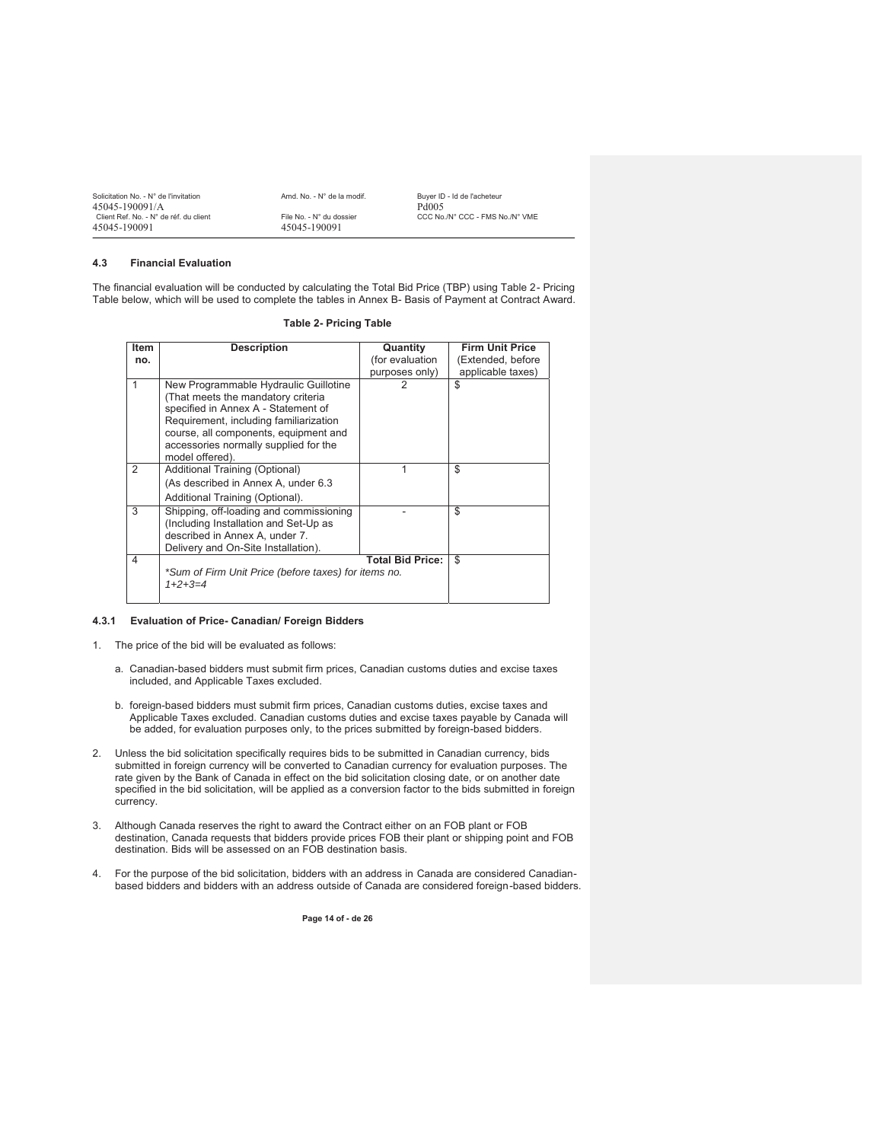| Solicitation No. - N° de l'invitation  | Amd. No. - N° de la modif. | Buver ID - Id de l'acheteur     |
|----------------------------------------|----------------------------|---------------------------------|
| 45045-190091/A                         |                            | Pd005                           |
| Client Ref. No. - N° de réf. du client | File No. - N° du dossier   | CCC No./N° CCC - FMS No./N° VME |
| 45045-190091                           | 45045-190091               |                                 |

## **4.3 Financial Evaluation**

The financial evaluation will be conducted by calculating the Total Bid Price (TBP) using Table 2- Pricing Table below, which will be used to complete the tables in Annex B- Basis of Payment at Contract Award.

| <b>Item</b> | <b>Description</b>                                                                                                                                                                                                                             | Quantity                | <b>Firm Unit Price</b> |
|-------------|------------------------------------------------------------------------------------------------------------------------------------------------------------------------------------------------------------------------------------------------|-------------------------|------------------------|
| no.         |                                                                                                                                                                                                                                                | (for evaluation         | (Extended, before      |
|             |                                                                                                                                                                                                                                                | purposes only)          | applicable taxes)      |
| 1           | New Programmable Hydraulic Guillotine<br>(That meets the mandatory criteria<br>specified in Annex A - Statement of<br>Requirement, including familiarization<br>course, all components, equipment and<br>accessories normally supplied for the | 2                       | \$                     |
| 2           | model offered).<br>Additional Training (Optional)                                                                                                                                                                                              |                         | \$                     |
|             | (As described in Annex A, under 6.3<br>Additional Training (Optional).                                                                                                                                                                         |                         |                        |
| 3           | Shipping, off-loading and commissioning<br>(Including Installation and Set-Up as<br>described in Annex A, under 7.<br>Delivery and On-Site Installation).                                                                                      |                         | \$                     |
| 4           |                                                                                                                                                                                                                                                | <b>Total Bid Price:</b> | \$                     |
|             | *Sum of Firm Unit Price (before taxes) for items no.                                                                                                                                                                                           |                         |                        |
|             | $1+2+3=4$                                                                                                                                                                                                                                      |                         |                        |
|             |                                                                                                                                                                                                                                                |                         |                        |

#### **Table 2- Pricing Table**

#### **4.3.1 Evaluation of Price- Canadian/ Foreign Bidders**

- 1. The price of the bid will be evaluated as follows:
	- a. Canadian-based bidders must submit firm prices, Canadian customs duties and excise taxes included, and Applicable Taxes excluded.
	- b. foreign-based bidders must submit firm prices, Canadian customs duties, excise taxes and Applicable Taxes excluded. Canadian customs duties and excise taxes payable by Canada will be added, for evaluation purposes only, to the prices submitted by foreign-based bidders.
- 2. Unless the bid solicitation specifically requires bids to be submitted in Canadian currency, bids submitted in foreign currency will be converted to Canadian currency for evaluation purposes. The rate given by the Bank of Canada in effect on the bid solicitation closing date, or on another date specified in the bid solicitation, will be applied as a conversion factor to the bids submitted in foreign currency.
- 3. Although Canada reserves the right to award the Contract either on an FOB plant or FOB destination, Canada requests that bidders provide prices FOB their plant or shipping point and FOB destination. Bids will be assessed on an FOB destination basis.
- 4. For the purpose of the bid solicitation, bidders with an address in Canada are considered Canadianbased bidders and bidders with an address outside of Canada are considered foreign-based bidders.

**Page 14 of - de 26**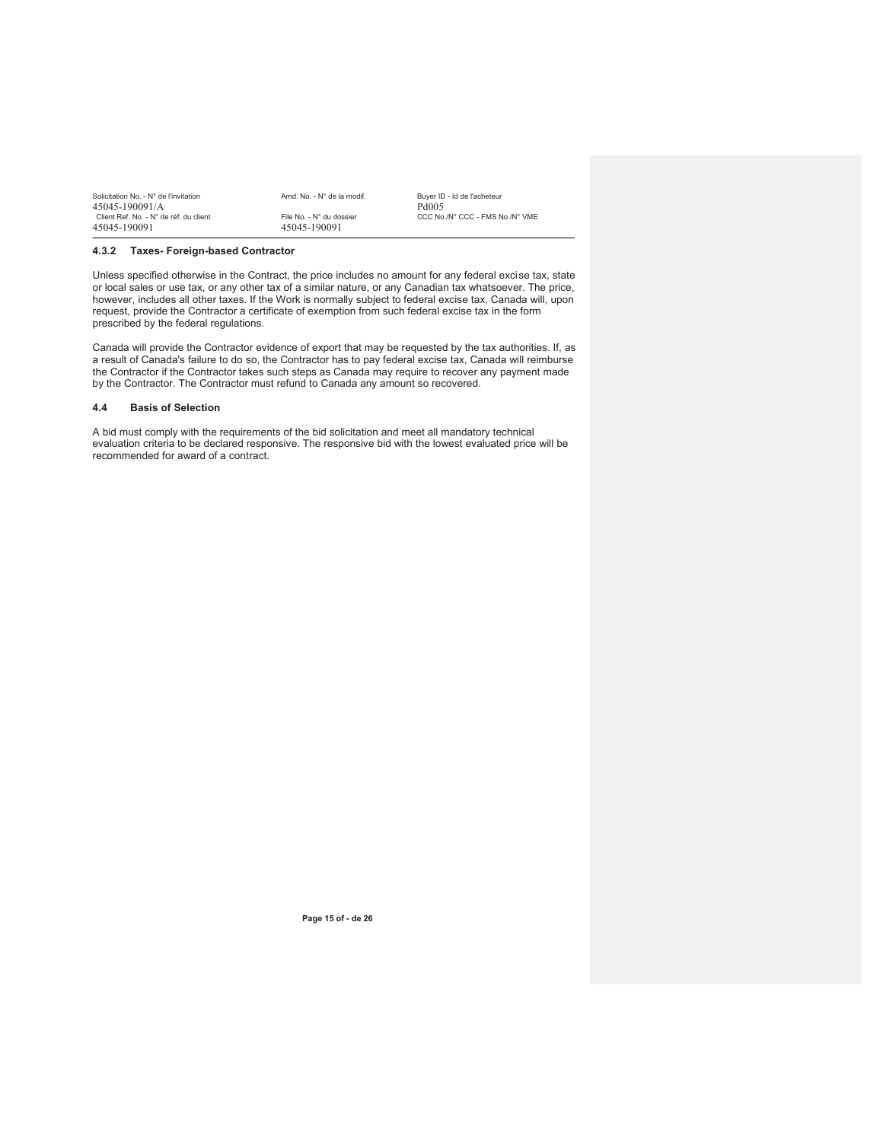| Solicitation No. - N° de l'invitation<br>45045-190091/A | Amd. No. - N° de la modif.               | Buver ID - Id de l'acheteur<br>Pd <sub>005</sub> |
|---------------------------------------------------------|------------------------------------------|--------------------------------------------------|
| Client Ref. No. - N° de réf. du client<br>45045-190091  | File No. - N° du dossier<br>45045-190091 | CCC No./N° CCC - FMS No./N° VME                  |

#### **4.3.2 Taxes- Foreign-based Contractor**

Unless specified otherwise in the Contract, the price includes no amount for any federal excise tax, state or local sales or use tax, or any other tax of a similar nature, or any Canadian tax whatsoever. The price, however, includes all other taxes. If the Work is normally subject to federal excise tax, Canada will, upon request, provide the Contractor a certificate of exemption from such federal excise tax in the form prescribed by the federal regulations.

Canada will provide the Contractor evidence of export that may be requested by the tax authorities. If, as a result of Canada's failure to do so, the Contractor has to pay federal excise tax, Canada will reimburse the Contractor if the Contractor takes such steps as Canada may require to recover any payment made by the Contractor. The Contractor must refund to Canada any amount so recovered.

#### **4.4 Basis of Selection**

A bid must comply with the requirements of the bid solicitation and meet all mandatory technical evaluation criteria to be declared responsive. The responsive bid with the lowest evaluated price will be recommended for award of a contract.

**Page 15 of - de 26**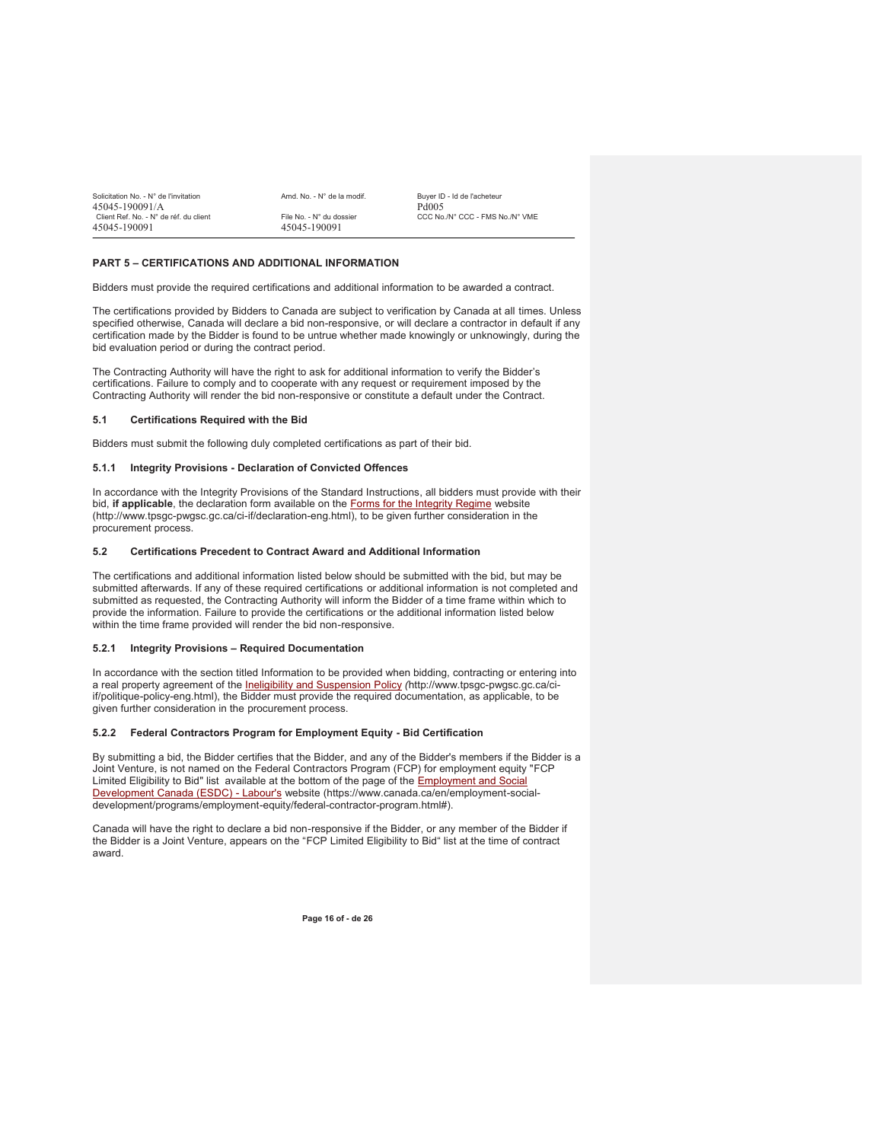| Solicitation No. - N° de l'invitation  | Amd. No. - N° de la modif. | Buver ID - Id de l'acheteur     |
|----------------------------------------|----------------------------|---------------------------------|
| 45045-190091/A                         |                            | Pd <sub>005</sub>               |
| Client Ref. No. - N° de réf. du client | File No. - N° du dossier   | CCC No./N° CCC - FMS No./N° VME |
| 45045-190091                           | 45045-190091               |                                 |

## **PART 5 – CERTIFICATIONS AND ADDITIONAL INFORMATION**

Bidders must provide the required certifications and additional information to be awarded a contract.

The certifications provided by Bidders to Canada are subject to verification by Canada at all times. Unless specified otherwise, Canada will declare a bid non-responsive, or will declare a contractor in default if any certification made by the Bidder is found to be untrue whether made knowingly or unknowingly, during the bid evaluation period or during the contract period.

The Contracting Authority will have the right to ask for additional information to verify the Bidder's certifications. Failure to comply and to cooperate with any request or requirement imposed by the Contracting Authority will render the bid non-responsive or constitute a default under the Contract.

#### **5.1 Certifications Required with the Bid**

Bidders must submit the following duly completed certifications as part of their bid.

#### **5.1.1 Integrity Provisions - Declaration of Convicted Offences**

In accordance with the Integrity Provisions of the Standard Instructions, all bidders must provide with their bid, **if applicable**, the declaration form available on the Forms for the Integrity Regime website (http://www.tpsgc-pwgsc.gc.ca/ci-if/declaration-eng.html), to be given further consideration in the procurement process.

## **5.2 Certifications Precedent to Contract Award and Additional Information**

The certifications and additional information listed below should be submitted with the bid, but may be submitted afterwards. If any of these required certifications or additional information is not completed and submitted as requested, the Contracting Authority will inform the Bidder of a time frame within which to provide the information. Failure to provide the certifications or the additional information listed below within the time frame provided will render the bid non-responsive.

#### **5.2.1 Integrity Provisions – Required Documentation**

In accordance with the section titled Information to be provided when bidding, contracting or entering into a real property agreement of the Ineligibility and Suspension Policy *(*http://www.tpsgc-pwgsc.gc.ca/ciif/politique-policy-eng.html), the Bidder must provide the required documentation, as applicable, to be given further consideration in the procurement process.

#### **5.2.2 Federal Contractors Program for Employment Equity - Bid Certification**

By submitting a bid, the Bidder certifies that the Bidder, and any of the Bidder's members if the Bidder is a Joint Venture, is not named on the Federal Contractors Program (FCP) for employment equity "FCP Limited Eligibility to Bid" list available at the bottom of the page of the Employment and Social Development Canada (ESDC) - Labour's website (https://www.canada.ca/en/employment-socialdevelopment/programs/employment-equity/federal-contractor-program.html#).

Canada will have the right to declare a bid non-responsive if the Bidder, or any member of the Bidder if the Bidder is a Joint Venture, appears on the "FCP Limited Eligibility to Bid" list at the time of contract award.

**Page 16 of - de 26**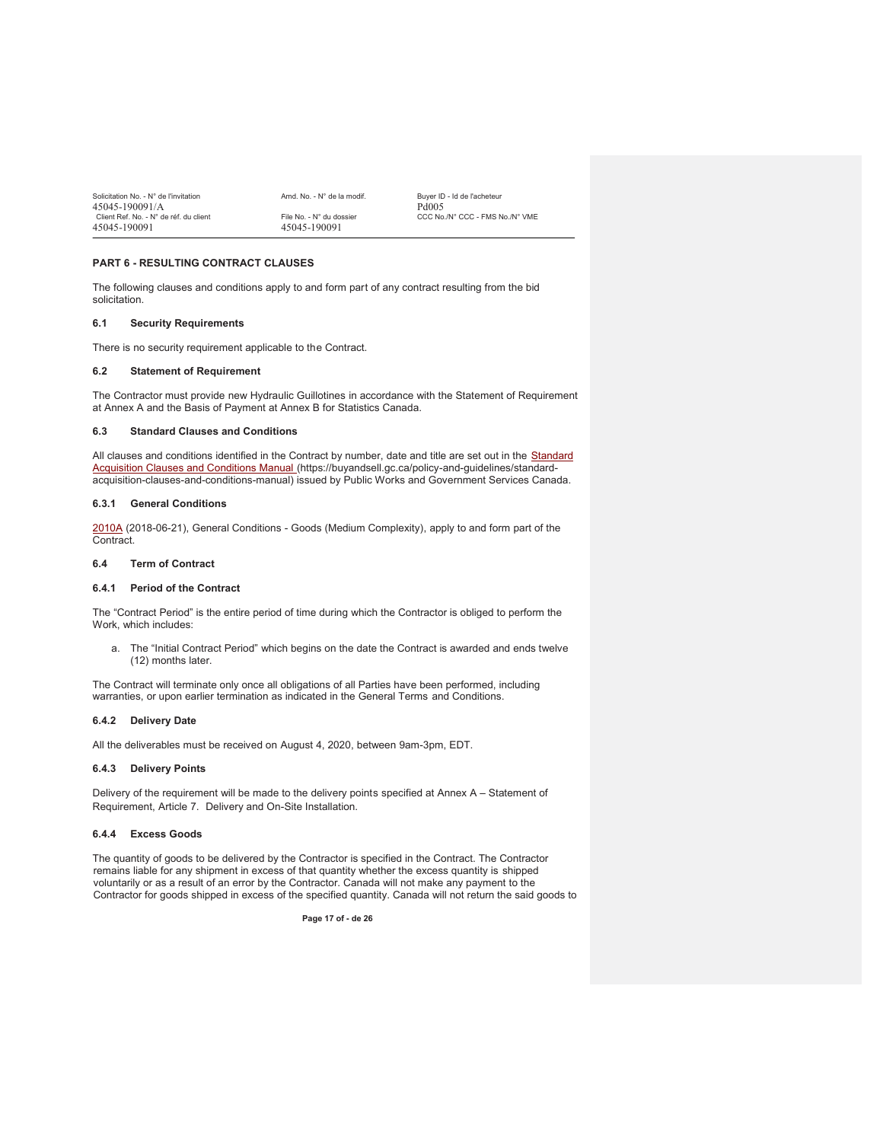| Solicitation No. - N° de l'invitation  | Amd. No. - N° de la modif. | Buver ID - Id de l'acheteur     |
|----------------------------------------|----------------------------|---------------------------------|
| 45045-190091/A                         |                            | Pd <sub>005</sub>               |
| Client Ref. No. - N° de réf. du client | File No. - N° du dossier   | CCC No./N° CCC - FMS No./N° VME |
| 45045-190091                           | 45045-190091               |                                 |

## **PART 6 - RESULTING CONTRACT CLAUSES**

The following clauses and conditions apply to and form part of any contract resulting from the bid solicitation.

## **6.1 Security Requirements**

There is no security requirement applicable to the Contract.

## **6.2 Statement of Requirement**

The Contractor must provide new Hydraulic Guillotines in accordance with the Statement of Requirement at Annex A and the Basis of Payment at Annex B for Statistics Canada.

#### **6.3 Standard Clauses and Conditions**

All clauses and conditions identified in the Contract by number, date and title are set out in the Standard Acquisition Clauses and Conditions Manual (https://buyandsell.gc.ca/policy-and-guidelines/standardacquisition-clauses-and-conditions-manual) issued by Public Works and Government Services Canada.

#### **6.3.1 General Conditions**

2010A (2018-06-21), General Conditions - Goods (Medium Complexity), apply to and form part of the Contract.

#### **6.4 Term of Contract**

## **6.4.1 Period of the Contract**

The "Contract Period" is the entire period of time during which the Contractor is obliged to perform the Work, which includes:

a. The "Initial Contract Period" which begins on the date the Contract is awarded and ends twelve (12) months later.

The Contract will terminate only once all obligations of all Parties have been performed, including warranties, or upon earlier termination as indicated in the General Terms and Conditions.

#### **6.4.2 Delivery Date**

All the deliverables must be received on August 4, 2020, between 9am-3pm, EDT.

#### **6.4.3 Delivery Points**

Delivery of the requirement will be made to the delivery points specified at Annex A – Statement of Requirement, Article 7. Delivery and On-Site Installation.

## **6.4.4 Excess Goods**

The quantity of goods to be delivered by the Contractor is specified in the Contract. The Contractor remains liable for any shipment in excess of that quantity whether the excess quantity is shipped voluntarily or as a result of an error by the Contractor. Canada will not make any payment to the Contractor for goods shipped in excess of the specified quantity. Canada will not return the said goods to

**Page 17 of - de 26**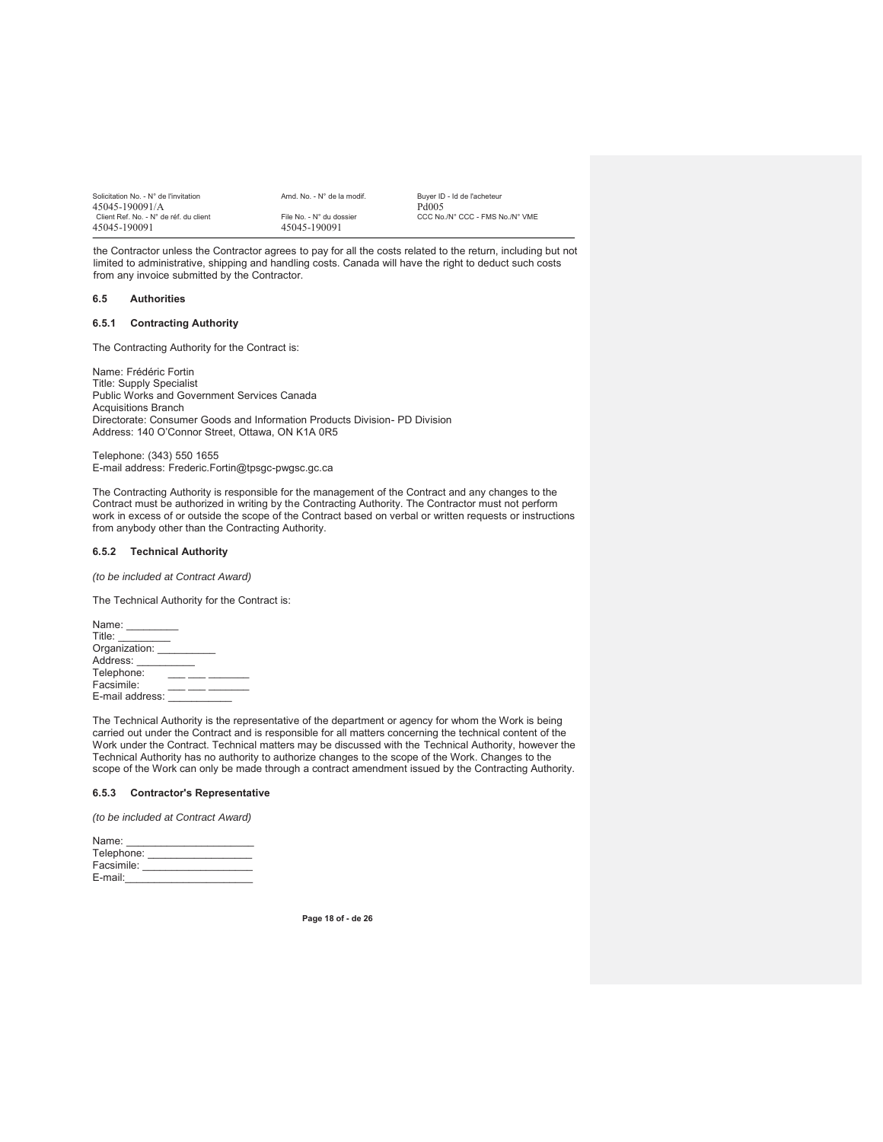| Solicitation No. - N° de l'invitation  | Amd. No. - N° de la modif. | Buver ID - Id de l'acheteur     |
|----------------------------------------|----------------------------|---------------------------------|
| 45045-190091/A                         |                            | Pd <sub>005</sub>               |
| Client Ref. No. - N° de réf. du client | File No. - N° du dossier   | CCC No./N° CCC - FMS No./N° VME |
| 45045-190091                           | 45045-190091               |                                 |

the Contractor unless the Contractor agrees to pay for all the costs related to the return, including but not limited to administrative, shipping and handling costs. Canada will have the right to deduct such costs from any invoice submitted by the Contractor.

#### **6.5 Authorities**

### **6.5.1 Contracting Authority**

The Contracting Authority for the Contract is:

Name: Frédéric Fortin Title: Supply Specialist Public Works and Government Services Canada Acquisitions Branch Directorate: Consumer Goods and Information Products Division- PD Division Address: 140 O'Connor Street, Ottawa, ON K1A 0R5

Telephone: (343) 550 1655 E-mail address: Frederic.Fortin@tpsgc-pwgsc.gc.ca

The Contracting Authority is responsible for the management of the Contract and any changes to the Contract must be authorized in writing by the Contracting Authority. The Contractor must not perform work in excess of or outside the scope of the Contract based on verbal or written requests or instructions from anybody other than the Contracting Authority.

#### **6.5.2 Technical Authority**

*(to be included at Contract Award)* 

The Technical Authority for the Contract is:

The Technical Authority is the representative of the department or agency for whom the Work is being carried out under the Contract and is responsible for all matters concerning the technical content of the Work under the Contract. Technical matters may be discussed with the Technical Authority, however the Technical Authority has no authority to authorize changes to the scope of the Work. Changes to the scope of the Work can only be made through a contract amendment issued by the Contracting Authority.

#### **6.5.3 Contractor's Representative**

*(to be included at Contract Award)*

| Name:      |  |
|------------|--|
| Telephone: |  |
| Facsimile: |  |
| E-mail:    |  |

**Page 18 of - de 26**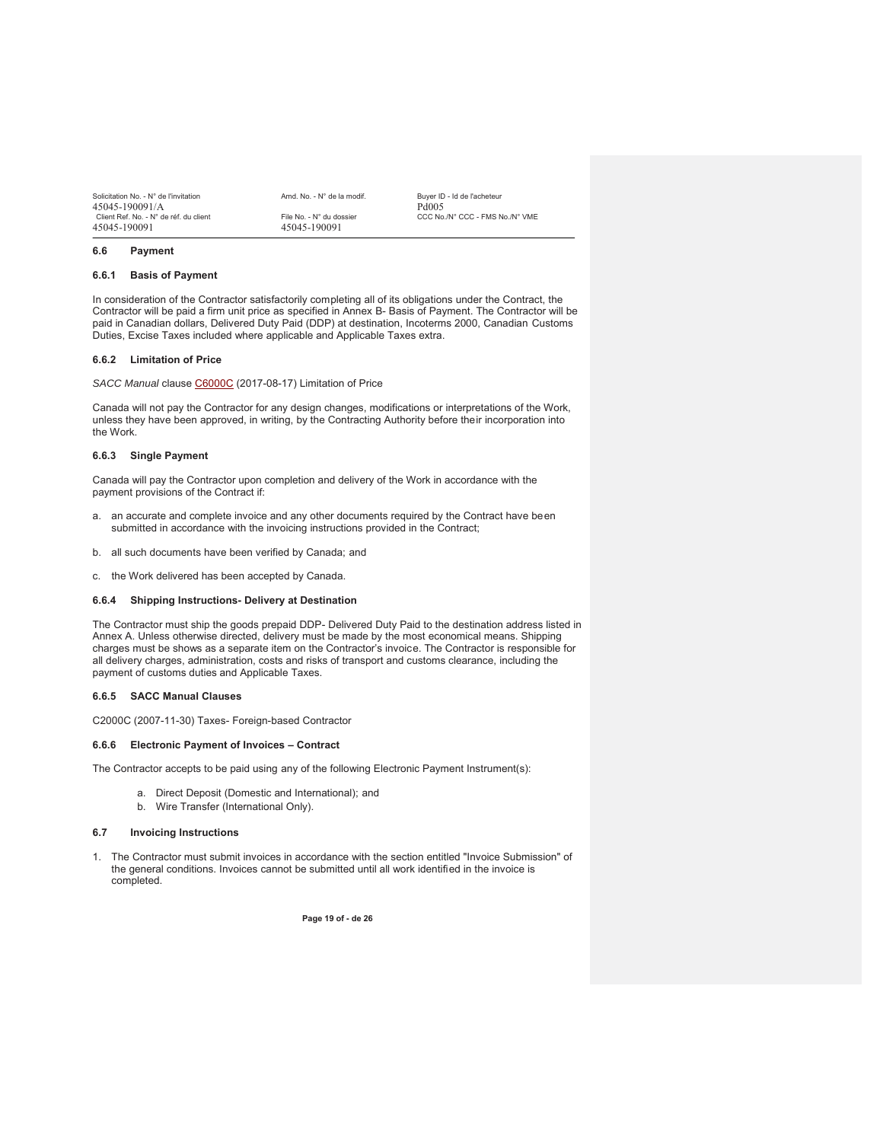| Solicitation No. - N° de l'invitation  | Amd. No. - N° de la modif. | Buver ID - Id de l'acheteur     |
|----------------------------------------|----------------------------|---------------------------------|
| 45045-190091/A                         |                            | Pd005                           |
| Client Ref. No. - N° de réf. du client | File No. - N° du dossier   | CCC No./N° CCC - FMS No./N° VME |
| 45045-190091                           | 45045-190091               |                                 |

**6.6 Payment** 

#### **6.6.1 Basis of Payment**

In consideration of the Contractor satisfactorily completing all of its obligations under the Contract, the Contractor will be paid a firm unit price as specified in Annex B- Basis of Payment. The Contractor will be paid in Canadian dollars, Delivered Duty Paid (DDP) at destination, Incoterms 2000, Canadian Customs Duties, Excise Taxes included where applicable and Applicable Taxes extra.

## **6.6.2 Limitation of Price**

*SACC Manual* clause C6000C (2017-08-17) Limitation of Price

Canada will not pay the Contractor for any design changes, modifications or interpretations of the Work, unless they have been approved, in writing, by the Contracting Authority before their incorporation into the Work.

#### **6.6.3 Single Payment**

Canada will pay the Contractor upon completion and delivery of the Work in accordance with the payment provisions of the Contract if:

- a. an accurate and complete invoice and any other documents required by the Contract have been submitted in accordance with the invoicing instructions provided in the Contract;
- b. all such documents have been verified by Canada; and
- c. the Work delivered has been accepted by Canada.

#### **6.6.4 Shipping Instructions- Delivery at Destination**

The Contractor must ship the goods prepaid DDP- Delivered Duty Paid to the destination address listed in Annex A. Unless otherwise directed, delivery must be made by the most economical means. Shipping charges must be shows as a separate item on the Contractor's invoice. The Contractor is responsible for all delivery charges, administration, costs and risks of transport and customs clearance, including the payment of customs duties and Applicable Taxes.

#### **6.6.5 SACC Manual Clauses**

C2000C (2007-11-30) Taxes- Foreign-based Contractor

#### **6.6.6 Electronic Payment of Invoices – Contract**

The Contractor accepts to be paid using any of the following Electronic Payment Instrument(s):

- a. Direct Deposit (Domestic and International); and
- b. Wire Transfer (International Only).

#### **6.7 Invoicing Instructions**

1. The Contractor must submit invoices in accordance with the section entitled "Invoice Submission" of the general conditions. Invoices cannot be submitted until all work identified in the invoice is completed.

**Page 19 of - de 26**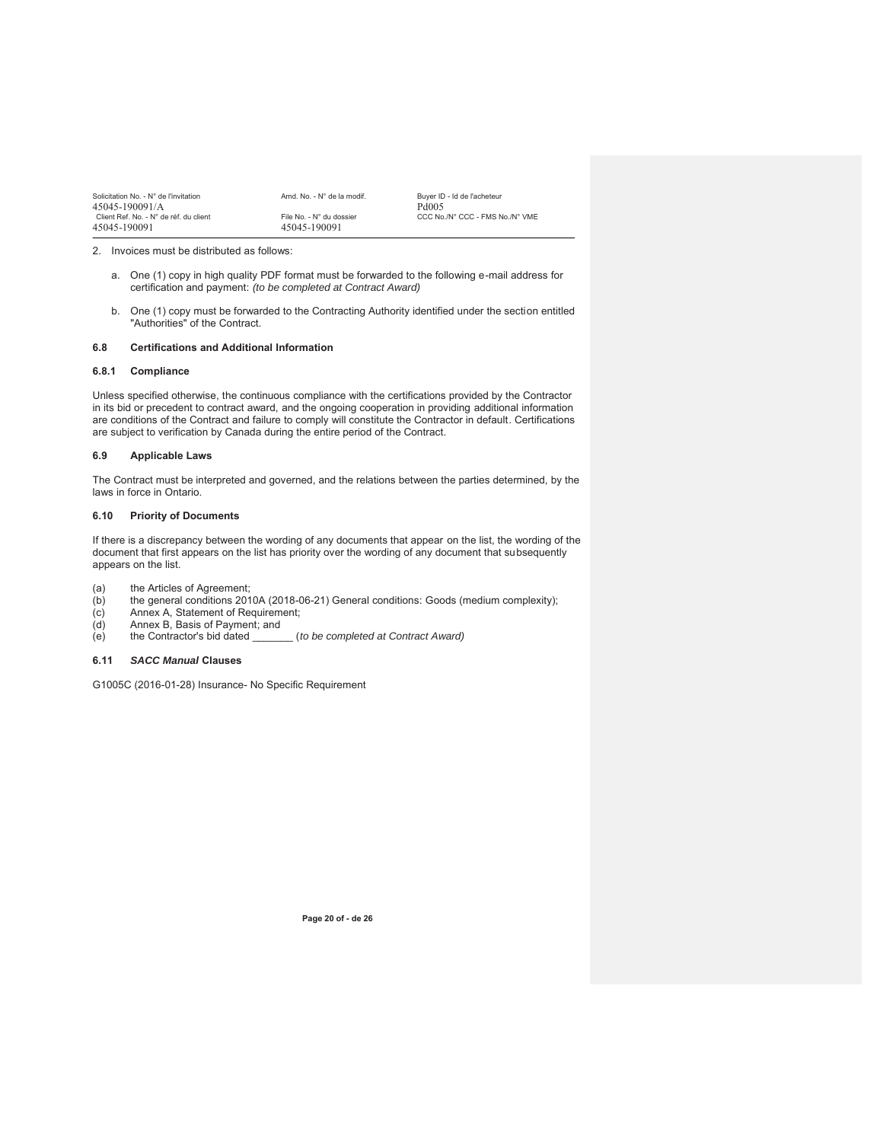| Solicitation No. - N° de l'invitation<br>45045-190091/A | Amd. No. - N° de la modif.               | Buver ID - Id de l'acheteur<br>Pd <sub>005</sub> |
|---------------------------------------------------------|------------------------------------------|--------------------------------------------------|
| Client Ref. No. - N° de réf. du client<br>45045-190091  | File No. - N° du dossier<br>45045-190091 | CCC No./N° CCC - FMS No./N° VME                  |

2. Invoices must be distributed as follows:

- a. One (1) copy in high quality PDF format must be forwarded to the following e-mail address for certification and payment: *(to be completed at Contract Award)*
- b. One (1) copy must be forwarded to the Contracting Authority identified under the section entitled "Authorities" of the Contract.

## **6.8 Certifications and Additional Information**

#### **6.8.1 Compliance**

Unless specified otherwise, the continuous compliance with the certifications provided by the Contractor in its bid or precedent to contract award, and the ongoing cooperation in providing additional information are conditions of the Contract and failure to comply will constitute the Contractor in default. Certifications are subject to verification by Canada during the entire period of the Contract.

#### **6.9 Applicable Laws**

The Contract must be interpreted and governed, and the relations between the parties determined, by the laws in force in Ontario.

#### **6.10 Priority of Documents**

If there is a discrepancy between the wording of any documents that appear on the list, the wording of the document that first appears on the list has priority over the wording of any document that subsequently appears on the list.

- 
- (a) the Articles of Agreement;<br>(b) the general conditions 201 (b) the general conditions 2010A (2018-06-21) General conditions: Goods (medium complexity);
- (c) Annex A, Statement of Requirement;<br>(d) Annex B, Basis of Payment; and
- (d) Annex B, Basis of Payment; and<br>(e) the Contractor's bid dated
- (to be completed at Contract Award)

## **6.11** *SACC Manual* **Clauses**

G1005C (2016-01-28) Insurance- No Specific Requirement

**Page 20 of - de 26**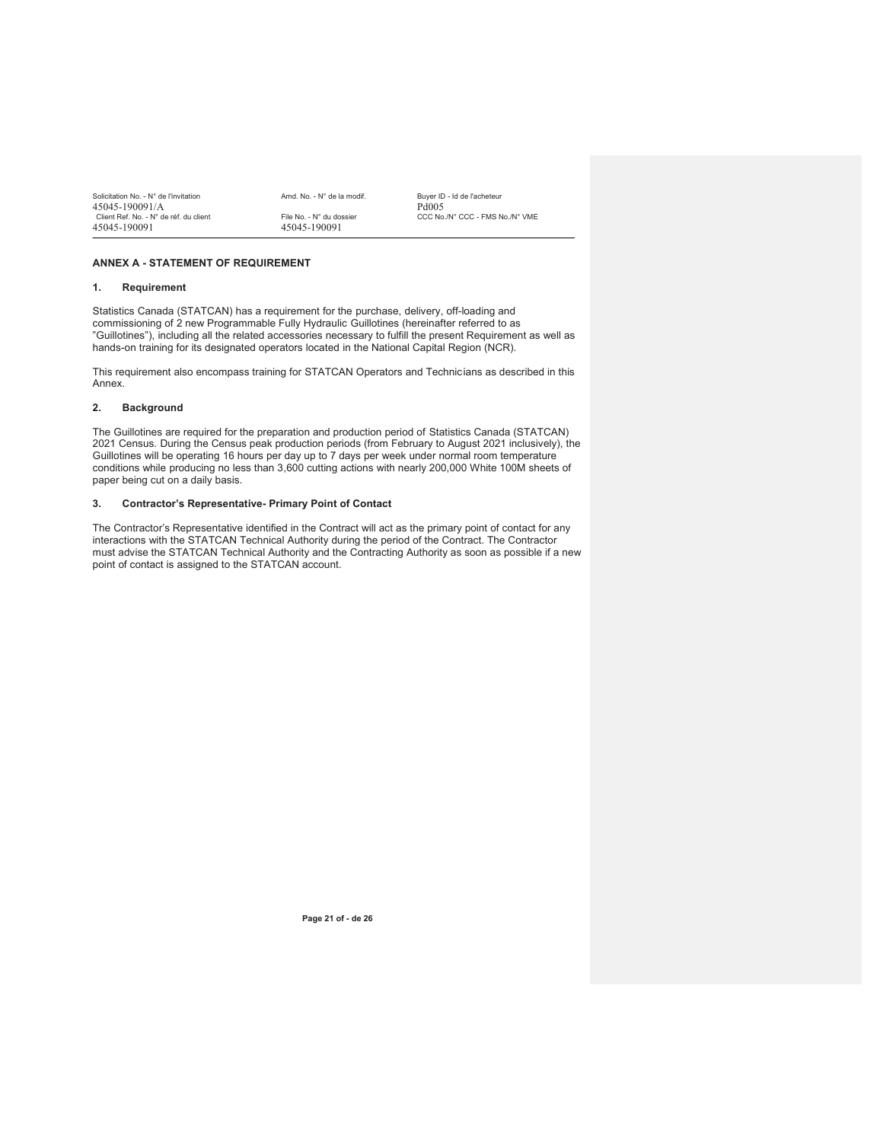| Solicitation No. - N° de l'invitation  | Amd. No. - N° de la modif. | Buver ID - Id de l'acheteur     |
|----------------------------------------|----------------------------|---------------------------------|
| 45045-190091/A                         |                            | Pd005                           |
| Client Ref. No. - N° de réf. du client | File No. - N° du dossier   | CCC No./N° CCC - FMS No./N° VME |
| 45045-190091                           | 45045-190091               |                                 |

## **ANNEX A - STATEMENT OF REQUIREMENT**

#### **1. Requirement**

Statistics Canada (STATCAN) has a requirement for the purchase, delivery, off-loading and commissioning of 2 new Programmable Fully Hydraulic Guillotines (hereinafter referred to as "Guillotines"), including all the related accessories necessary to fulfill the present Requirement as well as hands-on training for its designated operators located in the National Capital Region (NCR).

This requirement also encompass training for STATCAN Operators and Technicians as described in this Annex.

#### **2. Background**

The Guillotines are required for the preparation and production period of Statistics Canada (STATCAN) 2021 Census. During the Census peak production periods (from February to August 2021 inclusively), the Guillotines will be operating 16 hours per day up to 7 days per week under normal room temperature conditions while producing no less than 3,600 cutting actions with nearly 200,000 White 100M sheets of paper being cut on a daily basis.

#### **3. Contractor's Representative- Primary Point of Contact**

The Contractor's Representative identified in the Contract will act as the primary point of contact for any interactions with the STATCAN Technical Authority during the period of the Contract. The Contractor must advise the STATCAN Technical Authority and the Contracting Authority as soon as possible if a new point of contact is assigned to the STATCAN account.

**Page 21 of - de 26**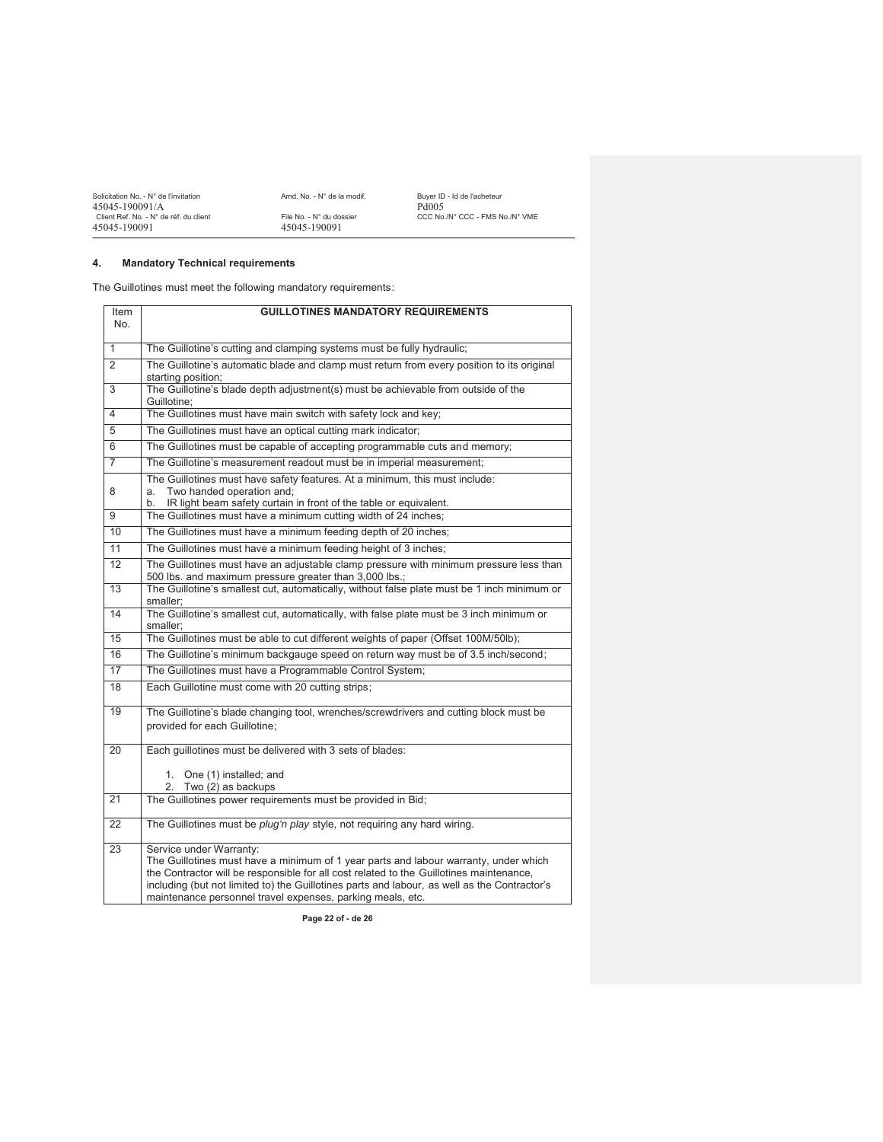| Solicitation No. - N° de l'invitation  | Amd. No. - N° de la modif. | Buver ID - Id de l'acheteur     |
|----------------------------------------|----------------------------|---------------------------------|
| 45045-190091/A                         |                            | Pd005                           |
| Client Ref. No. - N° de réf. du client | File No. - N° du dossier   | CCC No./N° CCC - FMS No./N° VME |
| 45045-190091                           | 45045-190091               |                                 |

## **4. Mandatory Technical requirements**

The Guillotines must meet the following mandatory requirements:

| Item<br>No.    | <b>GUILLOTINES MANDATORY REQUIREMENTS</b>                                                                                                                                                                                                                                                                                                                                |  |  |
|----------------|--------------------------------------------------------------------------------------------------------------------------------------------------------------------------------------------------------------------------------------------------------------------------------------------------------------------------------------------------------------------------|--|--|
| $\mathbf{1}$   | The Guillotine's cutting and clamping systems must be fully hydraulic;                                                                                                                                                                                                                                                                                                   |  |  |
| $\overline{2}$ | The Guillotine's automatic blade and clamp must return from every position to its original<br>starting position;                                                                                                                                                                                                                                                         |  |  |
| 3              | The Guillotine's blade depth adjustment(s) must be achievable from outside of the<br>Guillotine:                                                                                                                                                                                                                                                                         |  |  |
| $\overline{4}$ | The Guillotines must have main switch with safety lock and key;                                                                                                                                                                                                                                                                                                          |  |  |
| 5              | The Guillotines must have an optical cutting mark indicator;                                                                                                                                                                                                                                                                                                             |  |  |
| 6              | The Guillotines must be capable of accepting programmable cuts and memory;                                                                                                                                                                                                                                                                                               |  |  |
| $\overline{7}$ | The Guillotine's measurement readout must be in imperial measurement;                                                                                                                                                                                                                                                                                                    |  |  |
| 8              | The Guillotines must have safety features. At a minimum, this must include:<br>Two handed operation and;<br>a.<br>IR light beam safety curtain in front of the table or equivalent.<br>b.                                                                                                                                                                                |  |  |
| 9              | The Guillotines must have a minimum cutting width of 24 inches;                                                                                                                                                                                                                                                                                                          |  |  |
| 10             | The Guillotines must have a minimum feeding depth of 20 inches;                                                                                                                                                                                                                                                                                                          |  |  |
| 11             | The Guillotines must have a minimum feeding height of 3 inches;                                                                                                                                                                                                                                                                                                          |  |  |
| 12             | The Guillotines must have an adjustable clamp pressure with minimum pressure less than<br>500 lbs. and maximum pressure greater than 3,000 lbs.;                                                                                                                                                                                                                         |  |  |
| 13             | The Guillotine's smallest cut, automatically, without false plate must be 1 inch minimum or<br>smaller:                                                                                                                                                                                                                                                                  |  |  |
| 14             | The Guillotine's smallest cut, automatically, with false plate must be 3 inch minimum or<br>smaller:                                                                                                                                                                                                                                                                     |  |  |
| 15             | The Guillotines must be able to cut different weights of paper (Offset 100M/50lb);                                                                                                                                                                                                                                                                                       |  |  |
| 16             | The Guillotine's minimum backgauge speed on return way must be of 3.5 inch/second;                                                                                                                                                                                                                                                                                       |  |  |
| 17             | The Guillotines must have a Programmable Control System;                                                                                                                                                                                                                                                                                                                 |  |  |
| 18             | Each Guillotine must come with 20 cutting strips;                                                                                                                                                                                                                                                                                                                        |  |  |
| 19             | The Guillotine's blade changing tool, wrenches/screwdrivers and cutting block must be<br>provided for each Guillotine:                                                                                                                                                                                                                                                   |  |  |
| 20             | Each guillotines must be delivered with 3 sets of blades:                                                                                                                                                                                                                                                                                                                |  |  |
|                | 1. One (1) installed; and<br>Two (2) as backups<br>2.                                                                                                                                                                                                                                                                                                                    |  |  |
| 21             | The Guillotines power requirements must be provided in Bid;                                                                                                                                                                                                                                                                                                              |  |  |
| 22             | The Guillotines must be <i>plug'n play</i> style, not requiring any hard wiring.                                                                                                                                                                                                                                                                                         |  |  |
| 23             | Service under Warranty:<br>The Guillotines must have a minimum of 1 year parts and labour warranty, under which<br>the Contractor will be responsible for all cost related to the Guillotines maintenance,<br>including (but not limited to) the Guillotines parts and labour, as well as the Contractor's<br>maintenance personnel travel expenses, parking meals, etc. |  |  |

**Page 22 of - de 26**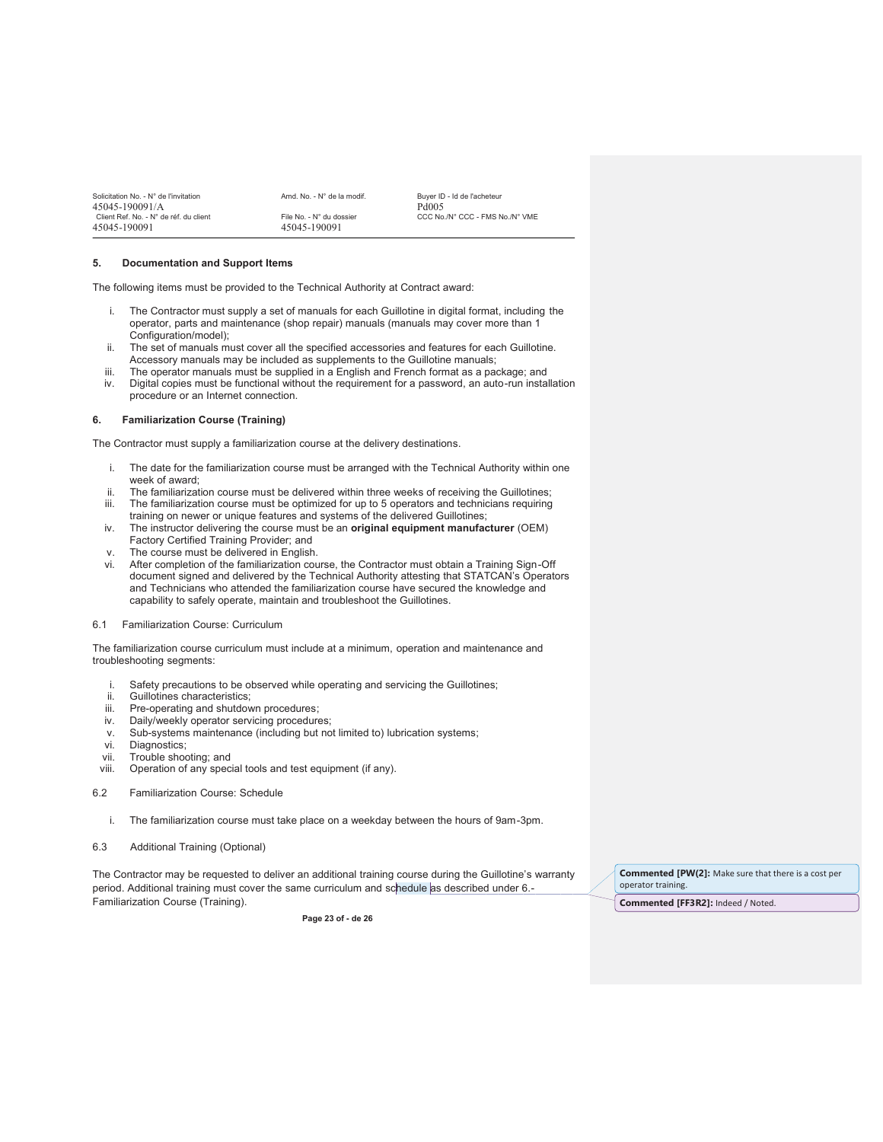| Solicitation No. - N° de l'invitation<br>45045-190091/A | Amd. No. - N° de la modif.               | Buver ID - Id de l'acheteur<br>Pd <sub>005</sub> |
|---------------------------------------------------------|------------------------------------------|--------------------------------------------------|
| Client Ref. No. - N° de réf. du client<br>45045-190091  | File No. - N° du dossier<br>45045-190091 | CCC No./N° CCC - FMS No./N° VME                  |

#### **5. Documentation and Support Items**

The following items must be provided to the Technical Authority at Contract award:

- i. The Contractor must supply a set of manuals for each Guillotine in digital format, including the operator, parts and maintenance (shop repair) manuals (manuals may cover more than 1 Configuration/model);
- ii. The set of manuals must cover all the specified accessories and features for each Guillotine. Accessory manuals may be included as supplements to the Guillotine manuals;
- iii. The operator manuals must be supplied in a English and French format as a package; and
- iv. Digital copies must be functional without the requirement for a password, an auto-run installation procedure or an Internet connection.

#### **6. Familiarization Course (Training)**

The Contractor must supply a familiarization course at the delivery destinations.

- i. The date for the familiarization course must be arranged with the Technical Authority within one week of award;
- ii. The familiarization course must be delivered within three weeks of receiving the Guillotines;
- iii. The familiarization course must be optimized for up to 5 operators and technicians requiring training on newer or unique features and systems of the delivered Guillotines;
- iv. The instructor delivering the course must be an **original equipment manufacturer** (OEM) Factory Certified Training Provider; and
- v. The course must be delivered in English.
- vi. After completion of the familiarization course, the Contractor must obtain a Training Sign-Off document signed and delivered by the Technical Authority attesting that STATCAN's Operators and Technicians who attended the familiarization course have secured the knowledge and capability to safely operate, maintain and troubleshoot the Guillotines.

#### 6.1 Familiarization Course: Curriculum

The familiarization course curriculum must include at a minimum, operation and maintenance and troubleshooting segments:

- i. Safety precautions to be observed while operating and servicing the Guillotines;
- ii. Guillotines characteristics;
- iii. Pre-operating and shutdown procedures;
- iv. Daily/weekly operator servicing procedures;
- v. Sub-systems maintenance (including but not limited to) lubrication systems;
- vi. Diagnostics;
- vii. Trouble shooting; and<br>viii. Operation of any spec
- Operation of any special tools and test equipment (if any).
- 6.2 Familiarization Course: Schedule
	- i. The familiarization course must take place on a weekday between the hours of 9am-3pm.
- 6.3 Additional Training (Optional)

The Contractor may be requested to deliver an additional training course during the Guillotine's warranty period. Additional training must cover the same curriculum and schedule as described under 6.-Familiarization Course (Training).

**Page 23 of - de 26**

**Commented [PW(2]:** Make sure that there is a cost per operator training.

**Commented [FF3R2]:** Indeed / Noted.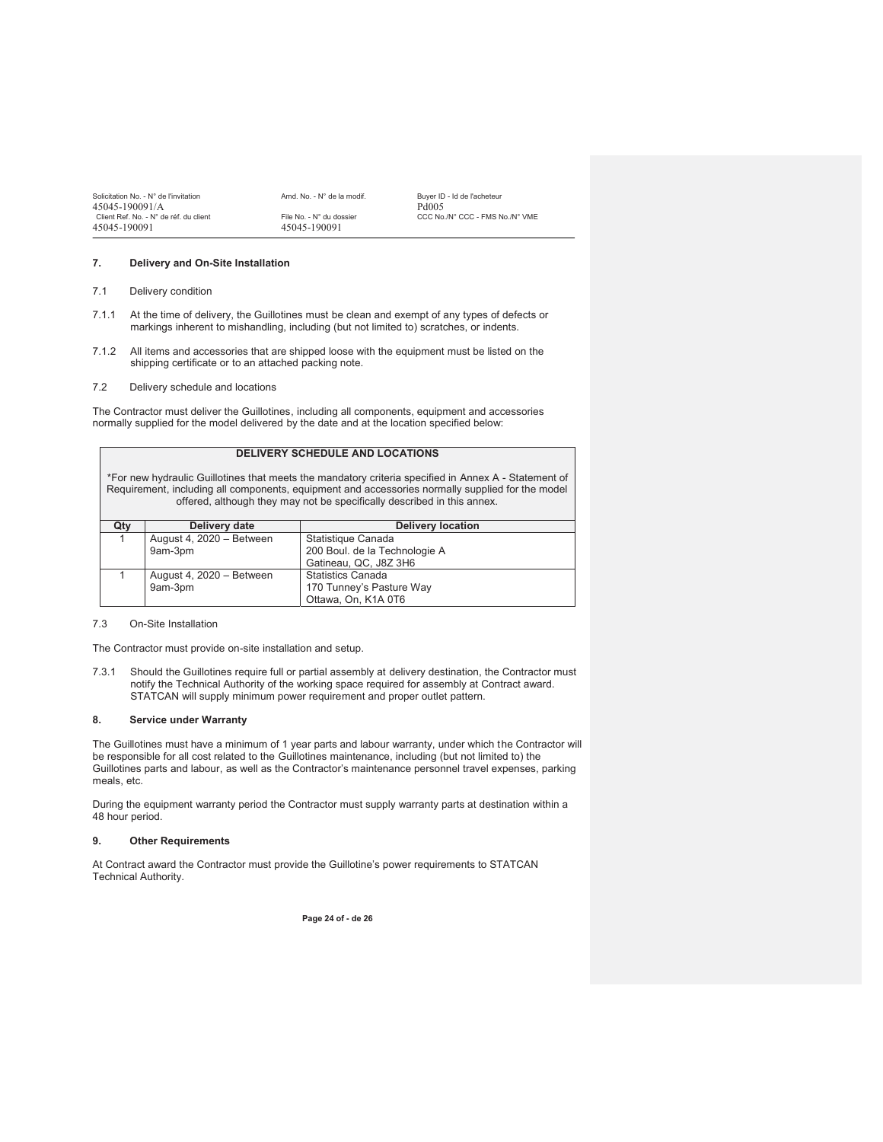| Solicitation No. - N° de l'invitation  | Amd. No. - N° de la modif. | <b>Buver ID</b>   |
|----------------------------------------|----------------------------|-------------------|
| 45045-190091/A                         |                            | Pd <sub>005</sub> |
| Client Ref. No. - N° de réf. du client | File No. - N° du dossier   | CCC No            |
| 45045-190091                           | 45045-190091               |                   |

Solicitation No. - N° de la modif.<br>Buyer ID - Id de l'acheteur - N° du dossier CCC No./N° CCC - FMS No./N° VME<br>5-190091

#### **7. Delivery and On-Site Installation**

7.1 Delivery condition

- 7.1.1 At the time of delivery, the Guillotines must be clean and exempt of any types of defects or markings inherent to mishandling, including (but not limited to) scratches, or indents.
- 7.1.2 All items and accessories that are shipped loose with the equipment must be listed on the shipping certificate or to an attached packing note.
- 7.2 Delivery schedule and locations

The Contractor must deliver the Guillotines, including all components, equipment and accessories normally supplied for the model delivered by the date and at the location specified below:

## **DELIVERY SCHEDULE AND LOCATIONS**

\*For new hydraulic Guillotines that meets the mandatory criteria specified in Annex A - Statement of Requirement, including all components, equipment and accessories normally supplied for the model offered, although they may not be specifically described in this annex.

| Qty | Delivery date            | <b>Delivery location</b>      |
|-----|--------------------------|-------------------------------|
|     | August 4, 2020 - Between | Statistique Canada            |
|     | 9am-3pm                  | 200 Boul. de la Technologie A |
|     |                          | Gatineau, QC, J8Z 3H6         |
|     | August 4, 2020 - Between | <b>Statistics Canada</b>      |
|     | 9am-3pm                  | 170 Tunney's Pasture Way      |
|     |                          | Ottawa, On, K1A 0T6           |

#### 7.3 On-Site Installation

The Contractor must provide on-site installation and setup.

7.3.1 Should the Guillotines require full or partial assembly at delivery destination, the Contractor must notify the Technical Authority of the working space required for assembly at Contract award. STATCAN will supply minimum power requirement and proper outlet pattern.

#### **8. Service under Warranty**

The Guillotines must have a minimum of 1 year parts and labour warranty, under which the Contractor will be responsible for all cost related to the Guillotines maintenance, including (but not limited to) the Guillotines parts and labour, as well as the Contractor's maintenance personnel travel expenses, parking meals, etc.

During the equipment warranty period the Contractor must supply warranty parts at destination within a 48 hour period.

#### **9. Other Requirements**

At Contract award the Contractor must provide the Guillotine's power requirements to STATCAN Technical Authority.

**Page 24 of - de 26**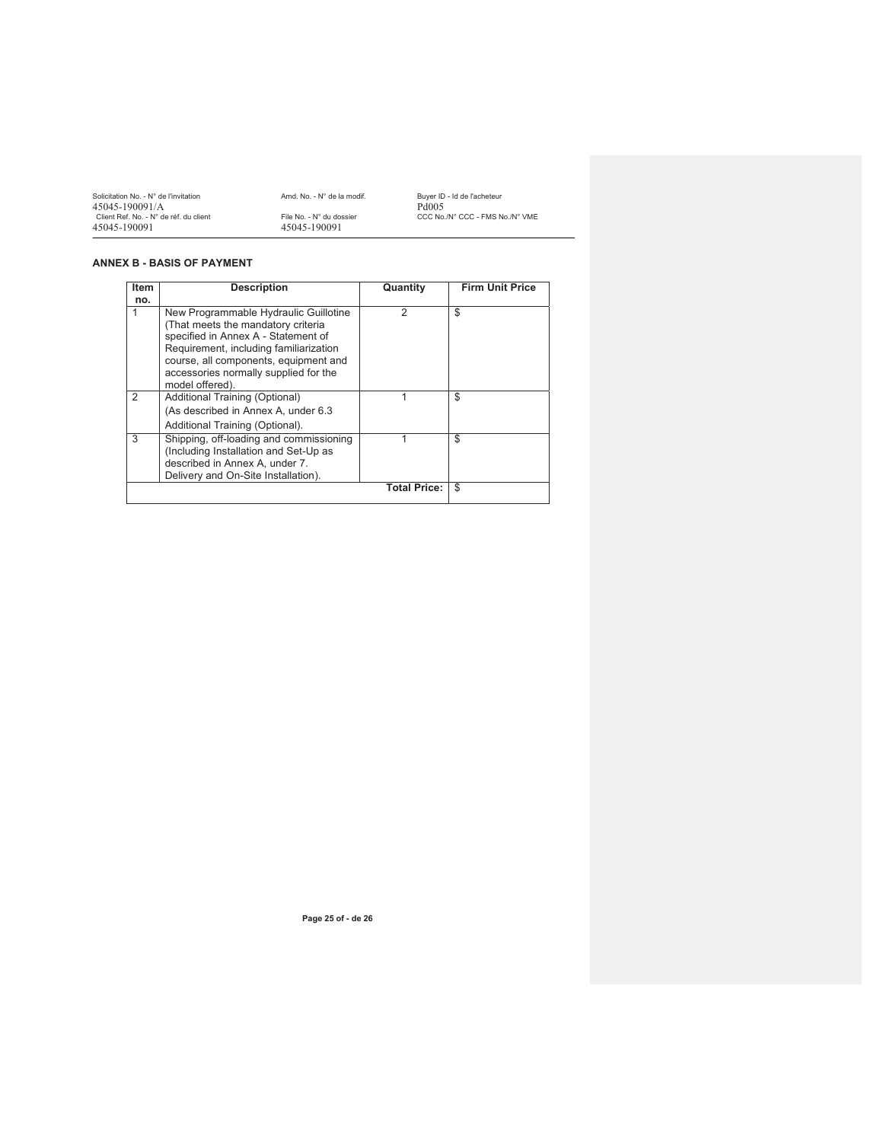| Solicitation No. - N° de l'invitation  | Amd. No. - N° de la modif. | Buver ID - Id de l'acheteur     |
|----------------------------------------|----------------------------|---------------------------------|
| 45045-190091/A                         |                            | Pd005                           |
| Client Ref. No. - N° de réf. du client | File No. - N° du dossier   | CCC No./N° CCC - FMS No./N° VME |
| 45045-190091                           | 45045-190091               |                                 |

## **ANNEX B - BASIS OF PAYMENT**

| <b>Item</b> | <b>Description</b>                                                                                                                                                                                                                                                | Quantity            | <b>Firm Unit Price</b> |
|-------------|-------------------------------------------------------------------------------------------------------------------------------------------------------------------------------------------------------------------------------------------------------------------|---------------------|------------------------|
| no.         |                                                                                                                                                                                                                                                                   |                     |                        |
| 1           | New Programmable Hydraulic Guillotine<br>(That meets the mandatory criteria<br>specified in Annex A - Statement of<br>Requirement, including familiarization<br>course, all components, equipment and<br>accessories normally supplied for the<br>model offered). | $\mathfrak{p}$      | \$                     |
| 2           | Additional Training (Optional)<br>(As described in Annex A, under 6.3)<br>Additional Training (Optional).                                                                                                                                                         |                     | \$                     |
| 3           | Shipping, off-loading and commissioning<br>(Including Installation and Set-Up as<br>described in Annex A, under 7.<br>Delivery and On-Site Installation).                                                                                                         |                     | \$                     |
|             |                                                                                                                                                                                                                                                                   | <b>Total Price:</b> | \$                     |

**Page 25 of - de 26**